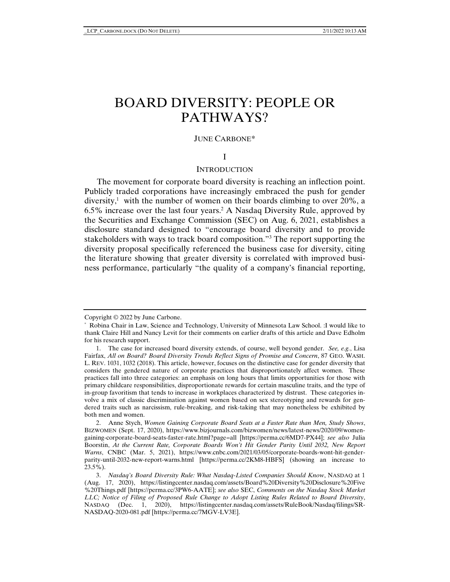# BOARD DIVERSITY: PEOPLE OR PATHWAYS?

#### JUNE CARBONE\*

## I

#### **INTRODUCTION**

The movement for corporate board diversity is reaching an inflection point. Publicly traded corporations have increasingly embraced the push for gender diversity,<sup>1</sup> with the number of women on their boards climbing to over 20%, a 6.5% increase over the last four years.2 A Nasdaq Diversity Rule, approved by the Securities and Exchange Commission (SEC) on Aug. 6, 2021, establishes a disclosure standard designed to "encourage board diversity and to provide stakeholders with ways to track board composition."3 The report supporting the diversity proposal specifically referenced the business case for diversity, citing the literature showing that greater diversity is correlated with improved business performance, particularly "the quality of a company's financial reporting,

Copyright © 2022 by June Carbone.

<sup>\*</sup> Robina Chair in Law, Science and Technology, University of Minnesota Law School. :I would like to thank Claire Hill and Nancy Levit for their comments on earlier drafts of this article and Dave Edholm for his research support.

<sup>1.</sup> The case for increased board diversity extends, of course, well beyond gender. *See, e.g.*, Lisa Fairfax, *All on Board? Board Diversity Trends Reflect Signs of Promise and Concern*, 87 GEO. WASH. L. REV. 1031, 1032 (2018). This article, however, focuses on the distinctive case for gender diversity that considers the gendered nature of corporate practices that disproportionately affect women. These practices fall into three categories: an emphasis on long hours that limits opportunities for those with primary childcare responsibilities, disproportionate rewards for certain masculine traits, and the type of in-group favoritism that tends to increase in workplaces characterized by distrust. These categories involve a mix of classic discrimination against women based on sex stereotyping and rewards for gendered traits such as narcissism, rule-breaking, and risk-taking that may nonetheless be exhibited by both men and women.

<sup>2.</sup> Anne Stych, *Women Gaining Corporate Board Seats at a Faster Rate than Men, Study Shows*, BIZWOMEN (Sept. 17, 2020), https://www.bizjournals.com/bizwomen/news/latest-news/2020/09/womengaining-corporate-board-seats-faster-rate.html?page=all [https://perma.cc/6MD7-PX44]; *see also* Julia Boorstin, *At the Current Rate, Corporate Boards Won't Hit Gender Parity Until 2032, New Report Warns*, CNBC (Mar. 5, 2021), https://www.cnbc.com/2021/03/05/corporate-boards-wont-hit-genderparity-until-2032-new-report-warns.html [https://perma.cc/2KM8-HBFS] (showing an increase to 23.5%).

<sup>3.</sup> *Nasdaq's Board Diversity Rule: What Nasdaq-Listed Companies Should Know*, NASDAQ at 1 (Aug. 17, 2020), https://listingcenter.nasdaq.com/assets/Board%20Diversity%20Disclosure%20Five %20Things.pdf [https://perma.cc/3PW6-AATE]; *see also* SEC, *Comments on the Nasdaq Stock Market LLC; Notice of Filing of Proposed Rule Change to Adopt Listing Rules Related to Board Diversity*, NASDAQ (Dec. 1, 2020), https://listingcenter.nasdaq.com/assets/RuleBook/Nasdaq/filings/SR-NASDAQ-2020-081.pdf [https://perma.cc/7MGV-LV3E].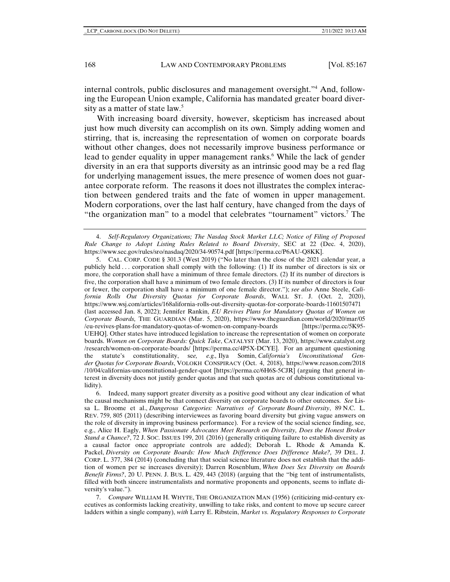internal controls, public disclosures and management oversight."4 And, following the European Union example, California has mandated greater board diversity as a matter of state law.<sup>5</sup>

With increasing board diversity, however, skepticism has increased about just how much diversity can accomplish on its own. Simply adding women and stirring, that is, increasing the representation of women on corporate boards without other changes, does not necessarily improve business performance or lead to gender equality in upper management ranks.<sup>6</sup> While the lack of gender diversity in an era that supports diversity as an intrinsic good may be a red flag for underlying management issues, the mere presence of women does not guarantee corporate reform. The reasons it does not illustrates the complex interaction between gendered traits and the fate of women in upper management. Modern corporations, over the last half century, have changed from the days of "the organization man" to a model that celebrates "tournament" victors.<sup>7</sup> The

<sup>4.</sup> *Self-Regulatory Organizations; The Nasdaq Stock Market LLC; Notice of Filing of Proposed Rule Change to Adopt Listing Rules Related to Board Diversity*, SEC at 22 (Dec. 4, 2020), https://www.sec.gov/rules/sro/nasdaq/2020/34-90574.pdf [https://perma.cc/P6AU-Q8KK].

<sup>5.</sup> CAL. CORP. CODE § 301.3 (West 2019) ("No later than the close of the 2021 calendar year, a publicly held . . . corporation shall comply with the following: (1) If its number of directors is six or more, the corporation shall have a minimum of three female directors. (2) If its number of directors is five, the corporation shall have a minimum of two female directors. (3) If its number of directors is four or fewer, the corporation shall have a minimum of one female director."); *see also* Anne Steele, *California Rolls Out Diversity Quotas for Corporate Boards*, WALL ST. J. (Oct. 2, 2020), https://www.wsj.com/articles/168alifornia-rolls-out-diversity-quotas-for-corporate-boards-11601507471 (last accessed Jan. 8, 2022); Jennifer Rankin, *EU Revives Plans for Mandatory Quotas of Women on Corporate Boards,* THE GUARDIAN (Mar. 5, 2020), https://www.theguardian.com/world/2020/mar/05 /eu-revives-plans-for-mandatory-quotas-of-women-on-company-boards UEHQ]. Other states have introduced legislation to increase the representation of women on corporate boards. *Women on Corporate Boards: Quick Take*, CATALYST (Mar. 13, 2020), https://www.catalyst.org /research/women-on-corporate-boards/ [https://perma.cc/4P5X-DCYE]. For an argument questioning the statute's constitutionality, see, e.g., Ilya Somin, *California's Unconstitutional Gen*the statute's constitutionality, se*e, e.g.,* Ilya Somin, *California's Unconstitutional Gender Quotas for Corporate Boards*, VOLOKH CONSPIRACY (Oct. 4, 2018), https://www.reason.com/2018 /10/04/californias-unconstitutional-gender-quot [https://perma.cc/6H6S-5CJR] (arguing that general interest in diversity does not justify gender quotas and that such quotas are of dubious constitutional validity).

<sup>6.</sup> Indeed, many support greater diversity as a positive good without any clear indication of what the causal mechanisms might be that connect diversity on corporate boards to other outcomes. *See* Lissa L. Broome et al., *Dangerous Categories: Narratives of Corporate Board Diversity*, 89 N.C. L. REV. 759, 805 (2011) (describing interviewees as favoring board diversity but giving vague answers on the role of diversity in improving business performance). For a review of the social science finding, see, e.g., Alice H. Eagly, *When Passionate Advocates Meet Research on Diversity, Does the Honest Broker Stand a Chance?*, 72 J. SOC. ISSUES 199, 201 (2016) (generally critiquing failure to establish diversity as a causal factor once appropriate controls are added); Deborah L. Rhode & Amanda K. Packel, *Diversity on Corporate Boards: How Much Difference Does Difference Make?,* 39 DEL. J. CORP. L. 377, 384 (2014) (concluding that that social science literature does not establish that the addition of women per se increases diversity); Darren Rosenblum, *When Does Sex Diversity on Boards Benefit Firms?*, 20 U. PENN. J. BUS. L. 429, 443 (2018) (arguing that the "big tent of instrumentalists, filled with both sincere instrumentalists and normative proponents and opponents, seems to inflate diversity's value.").

<sup>7.</sup> *Compare* WILLIAM H. WHYTE, THE ORGANIZATION MAN (1956) (criticizing mid-century executives as conformists lacking creativity, unwilling to take risks, and content to move up secure career ladders within a single company), *with* Larry E. Ribstein, *Market vs. Regulatory Responses to Corporate*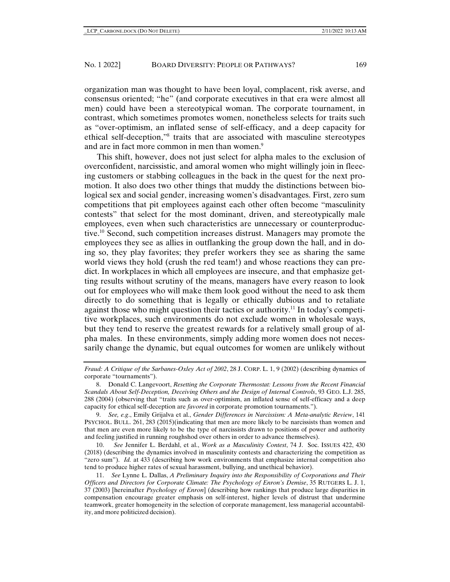organization man was thought to have been loyal, complacent, risk averse, and consensus oriented; "he" (and corporate executives in that era were almost all men) could have been a stereotypical woman. The corporate tournament, in contrast, which sometimes promotes women, nonetheless selects for traits such as "over-optimism, an inflated sense of self-efficacy, and a deep capacity for ethical self-deception,"8 traits that are associated with masculine stereotypes and are in fact more common in men than women.<sup>9</sup>

This shift, however, does not just select for alpha males to the exclusion of overconfident, narcissistic, and amoral women who might willingly join in fleecing customers or stabbing colleagues in the back in the quest for the next promotion. It also does two other things that muddy the distinctions between biological sex and social gender, increasing women's disadvantages. First, zero sum competitions that pit employees against each other often become "masculinity contests" that select for the most dominant, driven, and stereotypically male employees, even when such characteristics are unnecessary or counterproductive.10 Second, such competition increases distrust. Managers may promote the employees they see as allies in outflanking the group down the hall, and in doing so, they play favorites; they prefer workers they see as sharing the same world views they hold (crush the red team!) and whose reactions they can predict. In workplaces in which all employees are insecure, and that emphasize getting results without scrutiny of the means, managers have every reason to look out for employees who will make them look good without the need to ask them directly to do something that is legally or ethically dubious and to retaliate against those who might question their tactics or authority.11 In today's competitive workplaces, such environments do not exclude women in wholesale ways, but they tend to reserve the greatest rewards for a relatively small group of alpha males. In these environments, simply adding more women does not necessarily change the dynamic, but equal outcomes for women are unlikely without

10. *See* Jennifer L. Berdahl, et al., *Work as a Masculinity Contest*, 74 J. Soc. ISSUES 422, 430 (2018) (describing the dynamics involved in masculinity contests and characterizing the competition as "zero sum"). *Id.* at 433 (describing how work environments that emphasize internal competition also tend to produce higher rates of sexual harassment, bullying, and unethical behavior).

*Fraud: A Critique of the Sarbanes-Oxley Act of 2002*, 28 J. CORP. L. 1, 9 (2002) (describing dynamics of corporate "tournaments").

<sup>8.</sup> Donald C. Langevoort, *Resetting the Corporate Thermostat: Lessons from the Recent Financial Scandals About Self-Deception, Deceiving Others and the Design of Internal Controls*, 93 GEO. L.J. 285, 288 (2004) (observing that "traits such as over-optimism, an inflated sense of self-efficacy and a deep capacity for ethical self-deception are *favored* in corporate promotion tournaments.").

<sup>9.</sup> *See, e.g*., Emily Grijalva et al., *Gender Differences in Narcissism: A Meta-analytic Review*, 141 PSYCHOL. BULL. 261, 283 (2015)(indicating that men are more likely to be narcissists than women and that men are even more likely to be the type of narcissists drawn to positions of power and authority and feeling justified in running roughshod over others in order to advance themselves).

<sup>11.</sup> *See* Lynne L. Dallas, *A Preliminary Inquiry into the Responsibility of Corporations and Their Officers and Directors for Corporate Climate: The Psychology of Enron's Demise*, 35 RUTGERS L. J. 1, 37 (2003) [hereinafter *Psychology of Enron*] (describing how rankings that produce large disparities in compensation encourage greater emphasis on self-interest, higher levels of distrust that undermine teamwork, greater homogeneity in the selection of corporate management, less managerial accountability, and more politicized decision).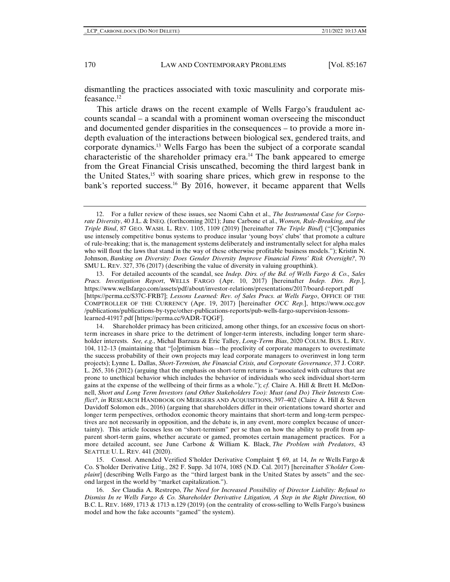dismantling the practices associated with toxic masculinity and corporate misfeasance.12

This article draws on the recent example of Wells Fargo's fraudulent accounts scandal – a scandal with a prominent woman overseeing the misconduct and documented gender disparities in the consequences – to provide a more indepth evaluation of the interactions between biological sex, gendered traits, and corporate dynamics.13 Wells Fargo has been the subject of a corporate scandal characteristic of the shareholder primacy era.14 The bank appeared to emerge from the Great Financial Crisis unscathed, becoming the third largest bank in the United States,15 with soaring share prices, which grew in response to the bank's reported success.<sup>16</sup> By 2016, however, it became apparent that Wells

13. For detailed accounts of the scandal, see *Indep. Dirs. of the Bd. of Wells Fargo & Co., Sales Pracs. Investigation Report*, WELLS FARGO (Apr. 10, 2017) [hereinafter *Indep. Dirs. Rep.*], https://www.wellsfargo.com/assets/pdf/about/investor-relations/presentations/2017/board-report.pdf [https://perma.cc/S37C-FRB7]; *Lessons Learned: Rev. of Sales Pracs. at Wells Fargo*, OFFICE OF THE COMPTROLLER OF THE CURRENCY (Apr. 19, 2017) [hereinafter *OCC Rep.*], https://www.occ.gov /publications/publications-by-type/other-publications-reports/pub-wells-fargo-supervision-lessonslearned-41917.pdf [https://perma.cc/9ADR-TQGF].

14. Shareholder primacy has been criticized, among other things, for an excessive focus on shortterm increases in share price to the detriment of longer-term interests, including longer term shareholder interests. *See, e.g*., Michal Barzuza & Eric Talley, *Long-Term Bias*, 2020 COLUM. BUS. L. REV. 104, 112–13 (maintaining that "[o]ptimism bias—the proclivity of corporate managers to overestimate the success probability of their own projects may lead corporate managers to overinvest in long term projects); Lynne L. Dallas, *Short-Termism, the Financial Crisis, and Corporate Governance*, 37 J. CORP. L. 265, 316 (2012) (arguing that the emphasis on short-term returns is "associated with cultures that are prone to unethical behavior which includes the behavior of individuals who seek individual short-term gains at the expense of the wellbeing of their firms as a whole."); *cf.* Claire A. Hill & Brett H. McDonnell, *Short and Long Term Investors (and Other Stakeholders Too): Must (and Do) Their Interests Conflict?*, *in* RESEARCH HANDBOOK ON MERGERS AND ACQUISITIONS, 397–402 (Claire A. Hill & Steven Davidoff Solomon eds., 2016) (arguing that shareholders differ in their orientations toward shorter and longer term perspectives, orthodox economic theory maintains that short-term and long-term perspectives are not necessarily in opposition, and the debate is, in any event, more complex because of uncertainty). This article focuses less on "short-termism" per se than on how the ability to profit from apparent short-term gains, whether accurate or gamed, promotes certain management practices. For a more detailed account, see June Carbone & William K. Black, *The Problem with Predators*, 43 SEATTLE U. L. REV. 441 (2020).

15. Consol. Amended Verified S'holder Derivative Complaint ¶ 69, at 14, *In re* Wells Fargo & Co. S'holder Derivative Litig., 282 F. Supp. 3d 1074, 1085 (N.D. Cal. 2017) [hereinafter *S'holder Complaint*] (describing Wells Fargo as the "third largest bank in the United States by assets" and the second largest in the world by "market capitalization.").

16. *See* Claudia A. Restrepo, *The Need for Increased Possibility of Director Liability: Refusal to Dismiss In re Wells Fargo & Co. Shareholder Derivative Litigation, A Step in the Right Direction*, 60 B.C. L. REV. 1689, 1713 & 1713 n.129 (2019) (on the centrality of cross-selling to Wells Fargo's business model and how the fake accounts "gamed" the system).

<sup>12.</sup> For a fuller review of these issues, see Naomi Cahn et al., *The Instrumental Case for Corporate Diversity*, 40 J.L. & INEQ. (forthcoming 2021); June Carbone et al., *Women, Rule-Breaking, and the Triple Bind*, 87 GEO. WASH. L. REV. 1105, 1109 (2019) [hereinafter *The Triple Bind*] ("[C]ompanies use intensely competitive bonus systems to produce insular 'young boys' clubs' that promote a culture of rule-breaking; that is, the management systems deliberately and instrumentally select for alpha males who will flout the laws that stand in the way of these otherwise profitable business models."); Kristin N. Johnson, *Banking on Diversity: Does Gender Diversity Improve Financial Firms' Risk Oversight?*, 70 SMU L. REV. 327, 376 (2017) (describing the value of diversity in valuing groupthink).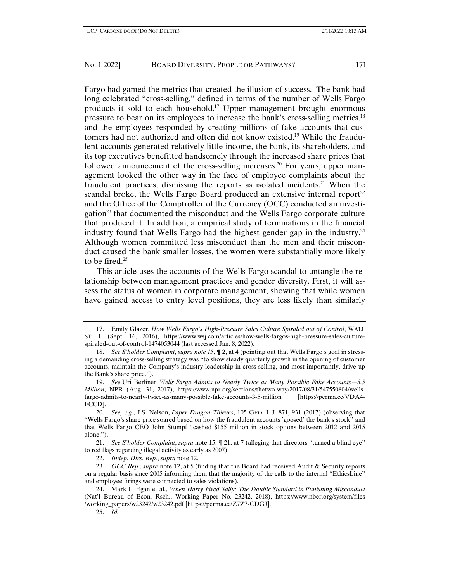Fargo had gamed the metrics that created the illusion of success. The bank had long celebrated "cross-selling," defined in terms of the number of Wells Fargo products it sold to each household.17 Upper management brought enormous pressure to bear on its employees to increase the bank's cross-selling metrics,18 and the employees responded by creating millions of fake accounts that customers had not authorized and often did not know existed.<sup>19</sup> While the fraudulent accounts generated relatively little income, the bank, its shareholders, and its top executives benefitted handsomely through the increased share prices that followed announcement of the cross-selling increases.<sup>20</sup> For years, upper management looked the other way in the face of employee complaints about the fraudulent practices, dismissing the reports as isolated incidents.21 When the scandal broke, the Wells Fargo Board produced an extensive internal report<sup>22</sup> and the Office of the Comptroller of the Currency (OCC) conducted an investigation23 that documented the misconduct and the Wells Fargo corporate culture that produced it. In addition, a empirical study of terminations in the financial industry found that Wells Fargo had the highest gender gap in the industry.24 Although women committed less misconduct than the men and their misconduct caused the bank smaller losses, the women were substantially more likely to be fired.<sup>25</sup>

This article uses the accounts of the Wells Fargo scandal to untangle the relationship between management practices and gender diversity. First, it will assess the status of women in corporate management, showing that while women have gained access to entry level positions, they are less likely than similarly

25. *Id.*

<sup>17.</sup> Emily Glazer, *How Wells Fargo's High-Pressure Sales Culture Spiraled out of Control*, WALL ST. J. (Sept. 16, 2016), https://www.wsj.com/articles/how-wells-fargos-high-pressure-sales-culturespiraled-out-of-control-1474053044 (last accessed Jan. 8, 2022).

<sup>18.</sup> *See S'holder Complaint*, *supra note 15*, ¶ 2, at 4 (pointing out that Wells Fargo's goal in stressing a demanding cross-selling strategy was "to show steady quarterly growth in the opening of customer accounts, maintain the Company's industry leadership in cross-selling, and most importantly, drive up the Bank's share price.").

<sup>19.</sup> *See* Uri Berliner, *Wells Fargo Admits to Nearly Twice as Many Possible Fake Accounts—3.5 Million*, NPR (Aug. 31, 2017), https://www.npr.org/sections/thetwo-way/2017/08/31/547550804/wellsfargo-admits-to-nearly-twice-as-many-possible-fake-accounts-3-5-million [https://perma.cc/VDA4- FCCD].

<sup>20.</sup> *See, e.g*., J.S. Nelson, *Paper Dragon Thieves*, 105 GEO. L.J. 871, 931 (2017) (observing that "Wells Fargo's share price soared based on how the fraudulent accounts 'goosed' the bank's stock" and that Wells Fargo CEO John Stumpf "cashed \$155 million in stock options between 2012 and 2015 alone.").

<sup>21.</sup> *See S'holder Complaint*, *supra* note 15, ¶ 21, at 7 (alleging that directors "turned a blind eye" to red flags regarding illegal activity as early as 2007).

<sup>22.</sup> *Indep. Dirs. Rep.*, *supra* note 12.

<sup>23</sup>*. OCC Rep., supra* note 12, at 5 (finding that the Board had received Audit & Security reports on a regular basis since 2005 informing them that the majority of the calls to the internal "EthicsLine" and employee firings were connected to sales violations).

<sup>24.</sup> Mark L. Egan et al., *When Harry Fired Sally: The Double Standard in Punishing Misconduct* (Nat'l Bureau of Econ. Rsch., Working Paper No. 23242, 2018), https://www.nber.org/system/files /working\_papers/w23242/w23242.pdf [https://perma.cc/Z7Z7-CDGJ].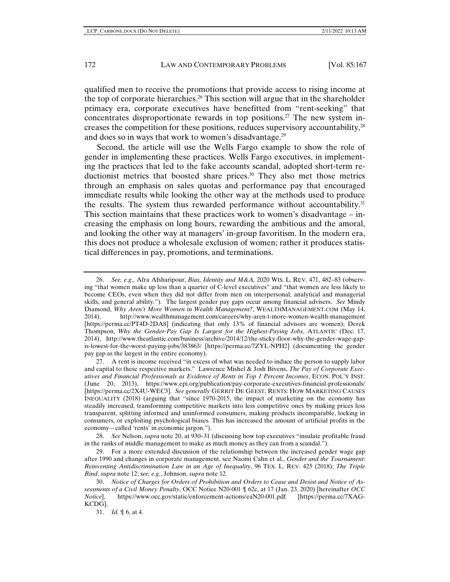qualified men to receive the promotions that provide access to rising income at the top of corporate hierarchies.<sup>26</sup> This section will argue that in the shareholder primacy era, corporate executives have benefitted from "rent-seeking" that concentrates disproportionate rewards in top positions.<sup>27</sup> The new system increases the competition for these positions, reduces supervisory accountability,28 and does so in ways that work to women's disadvantage. $^{29}$ 

Second, the article will use the Wells Fargo example to show the role of gender in implementing these practices. Wells Fargo executives, in implementing the practices that led to the fake accounts scandal, adopted short-term reductionist metrics that boosted share prices.30 They also met those metrics through an emphasis on sales quotas and performance pay that encouraged immediate results while looking the other way at the methods used to produce the results. The system thus rewarded performance without accountability.<sup>31</sup> This section maintains that these practices work to women's disadvantage  $-$  increasing the emphasis on long hours, rewarding the ambitious and the amoral, and looking the other way at managers' in-group favoritism. In the modern era, this does not produce a wholesale exclusion of women; rather it produces statistical differences in pay, promotions, and terminations.

<sup>26.</sup> *See, e.g*., Afra Afsharipour, *Bias, Identity and M&A,* 2020 WIS. L. REV. 471, 482–83 (observing "that women make up less than a quarter of C-level executives" and "that women are less likely to become CEOs, even when they did not differ from men on interpersonal, analytical and managerial skills, and general ability."). The largest gender pay gaps occur among financial advisers. *See* Mindy Diamond, *Why Aren't More Women in Wealth Management?*, WEALTHMANAGEMENT.COM (May 14, 2014), http://www.wealthmanagement.com/careers/why-aren-t-more-women-wealth-management [https://perma.cc/PT4D-2DA8] (indicating that only 13% of financial advisors are women); Derek Thompson, *Why the Gender-Pay Gap Is Largest for the Highest-Paying Jobs*, ATLANTIC (Dec. 17, 2014), http://www.theatlantic.com/business/archive/2014/12/the-sticky-floor-why-the-gender-wage-gapis-lowest-for-the-worst-paying-jobs/383863/ [https://perma.cc/7ZYL-NPH2] (documenting the gender pay gap as the largest in the entire economy).

<sup>27.</sup> A rent is income received "in excess of what was needed to induce the person to supply labor and capital to these respective markets." Lawrence Mishel & Josh Bivens, *The Pay of Corporate Executives and Financial Professionals as Evidence of Rents in Top 1 Percent Incomes*, ECON. POL'Y INST. (June 20, 2013), https://www.epi.org/publication/pay-corporate-executives-financial-professionals/ [https://perma.cc/2X4U-WEC3]. *See generally* GERRIT DE GEEST, RENTS: HOW MARKETING CAUSES INEQUALITY (2018) (arguing that "since 1970-2015, the impact of marketing on the economy has steadily increased, transforming competitive markets into less competitive ones by making prices less transparent, splitting informed and uninformed consumers, making products incomparable, locking in consumers, or exploiting psychological biases. This has increased the amount of artificial profits in the economy—called 'rents' in economic jargon.").

<sup>28.</sup> *See* Nelson, *supra* note 20, at 930–31 (discussing how top executives "insulate profitable fraud in the ranks of middle management to make as much money as they can from a scandal.").

<sup>29.</sup> For a more extended discussion of the relationship between the increased gender wage gap after 1990 and changes in corporate management, see Naomi Cahn et al., *Gender and the Tournament*: *Reinventing Antidiscrimination Law in an Age of Inequality*, 96 TEX. L. REV. 425 (2018); *The Triple Bind*, *supra* note 12; s*ee, e.g.*, Johnson, *supra* note 12.

<sup>30.</sup> *Notice of Charges for Orders of Prohibition and Orders to Cease and Desist and Notice of Assessments of a Civil Money Penalty*, OCC Notice N20-001 ¶ 62c, at 17 (Jan. 23, 2020) [hereinafter *OCC Notice*], https://www.occ.gov/static/enforcement-actions/eaN20-001.pdf [https://perma.cc/7XAG-KCDG].

<sup>31.</sup> *Id.* ¶ 6, at 4.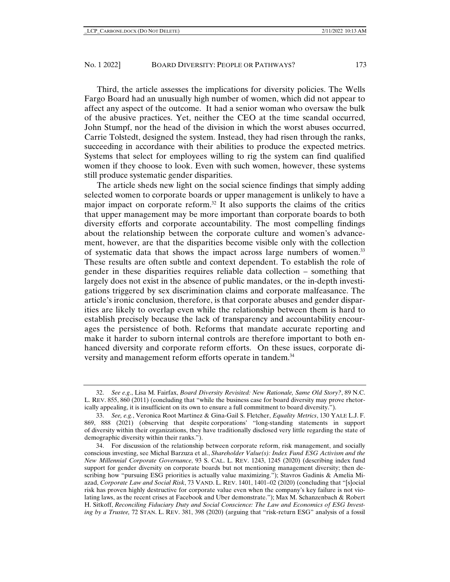Third, the article assesses the implications for diversity policies. The Wells Fargo Board had an unusually high number of women, which did not appear to affect any aspect of the outcome. It had a senior woman who oversaw the bulk of the abusive practices. Yet, neither the CEO at the time scandal occurred, John Stumpf, nor the head of the division in which the worst abuses occurred, Carrie Tolstedt, designed the system. Instead, they had risen through the ranks, succeeding in accordance with their abilities to produce the expected metrics. Systems that select for employees willing to rig the system can find qualified women if they choose to look. Even with such women, however, these systems still produce systematic gender disparities.

The article sheds new light on the social science findings that simply adding selected women to corporate boards or upper management is unlikely to have a major impact on corporate reform.32 It also supports the claims of the critics that upper management may be more important than corporate boards to both diversity efforts and corporate accountability. The most compelling findings about the relationship between the corporate culture and women's advancement, however, are that the disparities become visible only with the collection of systematic data that shows the impact across large numbers of women.33 These results are often subtle and context dependent. To establish the role of gender in these disparities requires reliable data collection – something that largely does not exist in the absence of public mandates, or the in-depth investigations triggered by sex discrimination claims and corporate malfeasance. The article's ironic conclusion, therefore, is that corporate abuses and gender disparities are likely to overlap even while the relationship between them is hard to establish precisely because the lack of transparency and accountability encourages the persistence of both. Reforms that mandate accurate reporting and make it harder to suborn internal controls are therefore important to both enhanced diversity and corporate reform efforts. On these issues, corporate diversity and management reform efforts operate in tandem.<sup>34</sup>

<sup>32.</sup> *See e.g*., Lisa M. Fairfax, *Board Diversity Revisited: New Rationale, Same Old Story?*, 89 N.C. L. REV. 855, 860 (2011) (concluding that "while the business case for board diversity may prove rhetorically appealing, it is insufficient on its own to ensure a full commitment to board diversity.").

<sup>33.</sup> *See, e.g.*, Veronica Root Martinez & Gina-Gail S. Fletcher, *Equality Metrics*, 130 YALE L.J. F. 869, 888 (2021) (observing that despite corporations' "long-standing statements in support of diversity within their organizations, they have traditionally disclosed very little regarding the state of demographic diversity within their ranks.").

<sup>34.</sup> For discussion of the relationship between corporate reform, risk management, and socially conscious investing, see Michal Barzuza et al., *Shareholder Value(s): Index Fund ESG Activism and the New Millennial Corporate Governance*, 93 S. CAL. L. REV. 1243, 1245 (2020) (describing index fund support for gender diversity on corporate boards but not mentioning management diversity; then describing how "pursuing ESG priorities is actually value maximizing."); Stavros Gadinis & Amelia Miazad, *Corporate Law and Social Risk*, 73 VAND. L. REV. 1401, 1401–02 (2020) (concluding that "[s]ocial risk has proven highly destructive for corporate value even when the company's key failure is not violating laws, as the recent crises at Facebook and Uber demonstrate."); Max M. Schanzenbach & Robert H. Sitkoff, *Reconciling Fiduciary Duty and Social Conscience: The Law and Economics of ESG Investing by a Trustee,* 72 STAN. L. REV. 381, 398 (2020) (arguing that "risk-return ESG" analysis of a fossil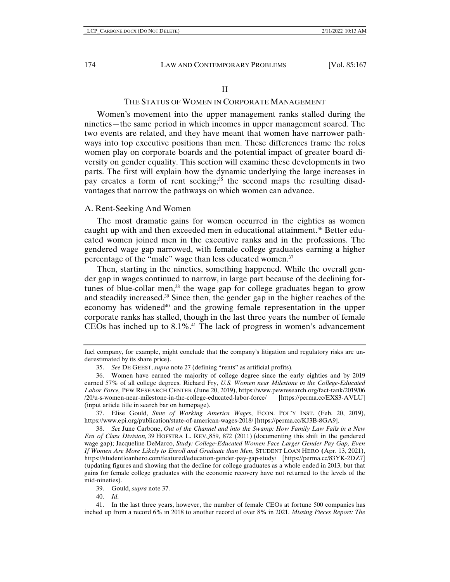#### II

#### THE STATUS OF WOMEN IN CORPORATE MANAGEMENT

Women's movement into the upper management ranks stalled during the nineties—the same period in which incomes in upper management soared. The two events are related, and they have meant that women have narrower pathways into top executive positions than men. These differences frame the roles women play on corporate boards and the potential impact of greater board diversity on gender equality. This section will examine these developments in two parts. The first will explain how the dynamic underlying the large increases in pay creates a form of rent seeking; $35$  the second maps the resulting disadvantages that narrow the pathways on which women can advance.

#### A. Rent-Seeking And Women

The most dramatic gains for women occurred in the eighties as women caught up with and then exceeded men in educational attainment.<sup>36</sup> Better educated women joined men in the executive ranks and in the professions. The gendered wage gap narrowed, with female college graduates earning a higher percentage of the "male" wage than less educated women.<sup>37</sup>

Then, starting in the nineties, something happened. While the overall gender gap in wages continued to narrow, in large part because of the declining fortunes of blue-collar men, $38$  the wage gap for college graduates began to grow and steadily increased.39 Since then, the gender gap in the higher reaches of the economy has widened<sup>40</sup> and the growing female representation in the upper corporate ranks has stalled, though in the last three years the number of female CEOs has inched up to  $8.1\%$ .<sup>41</sup> The lack of progress in women's advancement

38. *See* June Carbone, *Out of the Channel and into the Swamp: How Family Law Fails in a New Era of Class Division,* 39 HOFSTRA L. REV. 859, 872 (2011) (documenting this shift in the gendered wage gap); Jacqueline DeMarco, *Study: College-Educated Women Face Larger Gender Pay Gap, Even If Women Are More Likely to Enroll and Graduate than Men*, STUDENT LOAN HERO **(**Apr. 13, 2021), https://studentloanhero.com/featured/education-gender-pay-gap-study/ [https://perma.cc/83YK-2DZ7] (updating figures and showing that the decline for college graduates as a whole ended in 2013, but that gains for female college graduates with the economic recovery have not returned to the levels of the mid-nineties).

39. Gould, *supra* note 37.

40. *Id*.

41. In the last three years, however, the number of female CEOs at fortune 500 companies has inched up from a record 6% in 2018 to another record of over 8% in 2021. *Missing Pieces Report: The* 

fuel company, for example, might conclude that the company's litigation and regulatory risks are underestimated by its share price).

<sup>35.</sup> *See* DE GEEST, *supra* note 27 (defining "rents" as artificial profits).

<sup>36.</sup> Women have earned the majority of college degree since the early eighties and by 2019 earned 57% of all college degrees. Richard Fry, *U.S. Women near Milestone in the College-Educated Labor Force,* PEW RESEARCH CENTER (June 20, 2019), https://www.pewresearch.org/fact-tank/2019/06 /20/u-s-women-near-milestone-in-the-college-educated-labor-force/ [https://perma.cc/EXS3-AVLU] (input article title in search bar on homepage).

<sup>37.</sup> Elise Gould, *State of Working America Wages*, ECON. POL'Y INST. (Feb. 20, 2019), https://www.epi.org/publication/state-of-american-wages-2018/ [https://perma.cc/KJ3B-8GA9].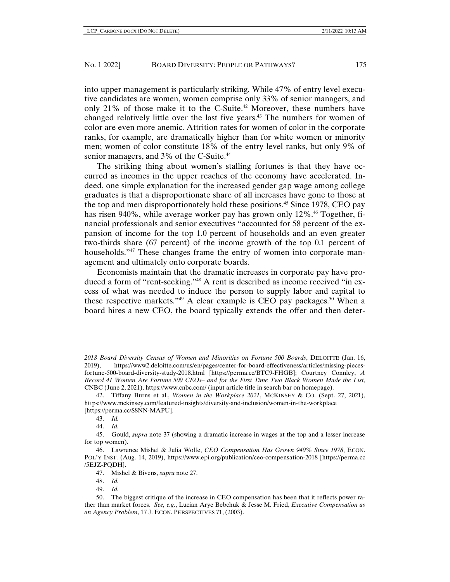into upper management is particularly striking. While 47% of entry level executive candidates are women, women comprise only 33% of senior managers, and only 21% of those make it to the C-Suite.42 Moreover, these numbers have changed relatively little over the last five years.43 The numbers for women of color are even more anemic. Attrition rates for women of color in the corporate ranks, for example, are dramatically higher than for white women or minority men; women of color constitute 18% of the entry level ranks, but only 9% of senior managers, and 3% of the C-Suite.<sup>44</sup>

The striking thing about women's stalling fortunes is that they have occurred as incomes in the upper reaches of the economy have accelerated. Indeed, one simple explanation for the increased gender gap wage among college graduates is that a disproportionate share of all increases have gone to those at the top and men disproportionately hold these positions.<sup>45</sup> Since 1978, CEO pay has risen 940%, while average worker pay has grown only  $12\%$ <sup>46</sup> Together, financial professionals and senior executives "accounted for 58 percent of the expansion of income for the top 1.0 percent of households and an even greater two-thirds share (67 percent) of the income growth of the top 0.1 percent of households."47 These changes frame the entry of women into corporate management and ultimately onto corporate boards.

Economists maintain that the dramatic increases in corporate pay have produced a form of "rent-seeking."48 A rent is described as income received "in excess of what was needed to induce the person to supply labor and capital to these respective markets." $49$  A clear example is CEO pay packages. $50$  When a board hires a new CEO, the board typically extends the offer and then deter-

49. *Id.*

*<sup>2018</sup> Board Diversity Census of Women and Minorities on Fortune 500 Boards*, DELOITTE (Jan. 16, 2019), https://www2.deloitte.com/us/en/pages/center-for-board-effectiveness/articles/missing-piecesfortune-500-board-diversity-study-2018.html [https://perma.cc/BTC9-FHGB]; Courtney Connley, *A Record 41 Women Are Fortune 500 CEOs– and for the First Time Two Black Women Made the List*, CNBC (June 2, 2021), https://www.cnbc.com/ (input article title in search bar on homepage).

<sup>42.</sup> Tiffany Burns et al., *Women in the Workplace 2021*, MCKINSEY & CO. (Sept. 27, 2021), https://www.mckinsey.com/featured-insights/diversity-and-inclusion/women-in-the-workplace [https://perma.cc/S8NN-MAPU].

<sup>43.</sup> *Id.*

<sup>44.</sup> *Id.*

<sup>45.</sup> Gould, *supra* note 37 (showing a dramatic increase in wages at the top and a lesser increase for top women).

<sup>46.</sup> Lawrence Mishel & Julia Wolfe, *CEO Compensation Has Grown 940% Since 1978*, ECON. POL'Y INST. (Aug. 14, 2019), https://www.epi.org/publication/ceo-compensation-2018 [https://perma.cc /5EJZ-PQDH].

<sup>47.</sup> Mishel & Bivens, *supra* note 27.

<sup>48.</sup> *Id.*

<sup>50.</sup> The biggest critique of the increase in CEO compensation has been that it reflects power rather than market forces. *See, e.g.*, Lucian Arye Bebchuk & Jesse M. Fried, *Executive Compensation as an Agency Problem*, 17 J. ECON. PERSPECTIVES 71, (2003).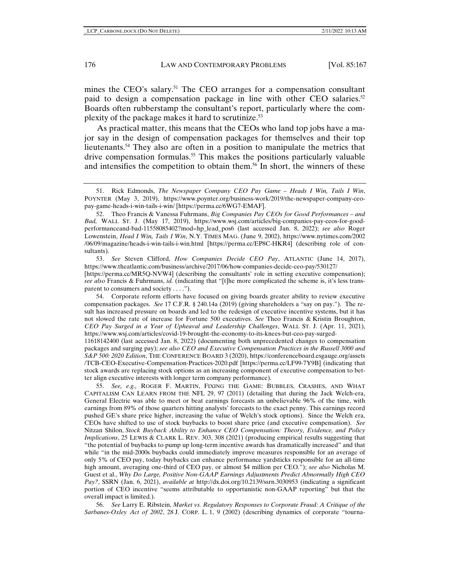mines the CEO's salary.<sup>51</sup> The CEO arranges for a compensation consultant paid to design a compensation package in line with other CEO salaries.<sup>52</sup> Boards often rubberstamp the consultant's report, particularly where the complexity of the package makes it hard to scrutinize.<sup>53</sup>

As practical matter, this means that the CEOs who land top jobs have a major say in the design of compensation packages for themselves and their top lieutenants.54 They also are often in a position to manipulate the metrics that drive compensation formulas.<sup>55</sup> This makes the positions particularly valuable and intensifies the competition to obtain them.56 In short, the winners of these

52. Theo Francis & Vanessa Fuhrmans, *Big Companies Pay CEOs for Good Performances – and Bad,* WALL ST. J. (May 17, 2019), https://www.wsj.com/articles/big-companies-pay-ceos-for-goodperformanceand-bad-11558085402?mod=hp\_lead\_pos6 (last accessed Jan. 8, 2022); *see also* Roger Lowenstein, *Head I Win, Tails I Win*, N.Y. TIMES MAG. (June 9, 2002), https://www.nytimes.com/2002 /06/09/magazine/heads-i-win-tails-i-win.html [https://perma.cc/EP8C-HKR4] (describing role of consultants).

53. *See* Steven Clifford, *How Companies Decide CEO Pay*, ATLANTIC (June 14, 2017), https://www.theatlantic.com/business/archive/2017/06/how-companies-decide-ceo-pay/530127/ [https://perma.cc/MR5Q-NVW4] (describing the consultants' role in setting executive compensation); *see also* Francis & Fuhrmans, *id.* (indicating that "[t]he more complicated the scheme is, it's less transparent to consumers and society . . . .").

54. Corporate reform efforts have focused on giving boards greater ability to review executive compensation packages. *See* 17 C.F.R. § 240.14a (2019) (giving shareholders a "say on pay."). The result has increased pressure on boards and led to the redesign of executive incentive systems, but it has not slowed the rate of increase for Fortune 500 executives. *See* Theo Francis & Kristin Broughton, *CEO Pay Surged in a Year of Upheaval and Leadership Challenges*, WALL ST. J. (Apr. 11, 2021), https://www.wsj.com/articles/covid-19-brought-the-economy-to-its-knees-but-ceo-pay-surged-

11618142400 (last accessed Jan. 8, 2022) (documenting both unprecedented changes to compensation packages and surging pay); *see also CEO and Executive Compensation Practices in the Russell 3000 and S&P 500: 2020 Edition*, THE CONFERENCE BOARD 3 (2020), https://conferenceboard.esgauge.org/assets /TCB-CEO-Executive-Compensation-Practices-2020.pdf [https://perma.cc/LF99-7Y9B] (indicating that stock awards are replacing stock options as an increasing component of executive compensation to better align executive interests with longer term company performance).

55. *See, e.g.,* ROGER F. MARTIN, FIXING THE GAME: BUBBLES, CRASHES, AND WHAT CAPITALISM CAN LEARN FROM THE NFL 29, 97 (2011) (detailing that during the Jack Welch-era, General Electric was able to meet or beat earnings forecasts an unbelievable 96% of the time, with earnings from 89% of those quarters hitting analysts' forecasts to the exact penny. This earnings record pushed GE's share price higher, increasing the value of Welch's stock options). Since the Welch era, CEOs have shifted to use of stock buybacks to boost share price (and executive compensation). *See*  Nitzan Shilon, *Stock Buyback Ability to Enhance CEO Compensation: Theory, Evidence, and Policy Implications*, 25 LEWIS & CLARK L. REV. 303, 308 (2021) (producing empirical results suggesting that "the potential of buybacks to pump up long-term incentive awards has dramatically increased" and that while "in the mid-2000s buybacks could immediately improve measures responsible for an average of only 5% of CEO pay, today buybacks can enhance performance yardsticks responsible for an all-time high amount, averaging one-third of CEO pay, or almost \$4 million per CEO."); *see also* Nicholas M. Guest et al., *Why Do Large, Positive Non-GAAP Earnings Adjustments Predict Abnormally High CEO Pay?*, SSRN (Jan. 6, 2021), *available at* http://dx.doi.org/10.2139/ssrn.3030953 (indicating a significant portion of CEO incentive "seems attributable to opportunistic non-GAAP reporting" but that the overall impact is limited.).

56. *See* Larry E. Ribstein, *Market vs. Regulatory Responses to Corporate Fraud: A Critique of the Sarbanes-Oxley Act of 2002*, 28 J. CORP. L. 1, 9 (2002) (describing dynamics of corporate "tourna-

<sup>51.</sup> Rick Edmonds, *The Newspaper Company CEO Pay Game – Heads I Win, Tails I Win*, POYNTER (May 3, 2019), https://www.poynter.org/business-work/2019/the-newspaper-company-ceopay-game-heads-i-win-tails-i-win/ [https://perma.cc/6WG7-EMAF].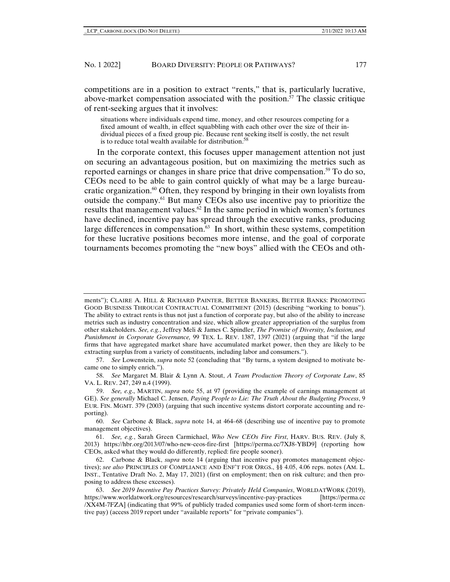competitions are in a position to extract "rents," that is, particularly lucrative, above-market compensation associated with the position.<sup>57</sup> The classic critique of rent-seeking argues that it involves:

situations where individuals expend time, money, and other resources competing for a fixed amount of wealth, in effect squabbling with each other over the size of their individual pieces of a fixed group pie. Because rent seeking itself is costly, the net result is to reduce total wealth available for distribution.<sup>58</sup>

In the corporate context, this focuses upper management attention not just on securing an advantageous position, but on maximizing the metrics such as reported earnings or changes in share price that drive compensation.<sup>59</sup> To do so, CEOs need to be able to gain control quickly of what may be a large bureaucratic organization.<sup>60</sup> Often, they respond by bringing in their own loyalists from outside the company.61 But many CEOs also use incentive pay to prioritize the results that management values. $62$  In the same period in which women's fortunes have declined, incentive pay has spread through the executive ranks, producing large differences in compensation. $63$  In short, within these systems, competition for these lucrative positions becomes more intense, and the goal of corporate tournaments becomes promoting the "new boys" allied with the CEOs and oth-

57. *See* Lowenstein, *supra* note 52 (concluding that "By turns, a system designed to motivate became one to simply enrich.").

58. *See* Margaret M. Blair & Lynn A. Stout, *A Team Production Theory of Corporate Law*, 85 VA. L. REV. 247, 249 n.4 (1999).

59. *See, e.g*., MARTIN, *supra* note 55, at 97 (providing the example of earnings management at GE). *See generally* Michael C. Jensen, *Paying People to Lie: The Truth About the Budgeting Process*, 9 EUR. FIN. MGMT. 379 (2003) (arguing that such incentive systems distort corporate accounting and reporting).

60. *See* Carbone & Black, *supra* note 14, at 464–68 (describing use of incentive pay to promote management objectives).

61. *See, e.g.*, Sarah Green Carmichael, *Who New CEOs Fire First*, HARV. BUS. REV. (July 8, 2013) https://hbr.org/2013/07/who-new-ceos-fire-first [https://perma.cc/7XJ8-YBD9] (reporting how CEOs, asked what they would do differently, replied: fire people sooner).

62. Carbone & Black, *supra* note 14 (arguing that incentive pay promotes management objectives); *see also* PRINCIPLES OF COMPLIANCE AND ENF'T FOR ORGS., §§ 4.05, 4.06 reps. notes (AM. L. INST., Tentative Draft No. 2, May 17, 2021) (first on employment; then on risk culture; and then proposing to address these excesses).

63. *See 2019 Incentive Pay Practices Survey: Privately Held Companies*, WORLDATWORK (2019), https://www.worldatwork.org/resources/research/surveys/incentive-pay-practices [https://perma.cc /XX4M-7FZA] (indicating that 99% of publicly traded companies used some form of short-term incentive pay) (access 2019 report under "available reports" for "private companies").

ments"); CLAIRE A. HILL & RICHARD PAINTER, BETTER BANKERS, BETTER BANKS: PROMOTING GOOD BUSINESS THROUGH CONTRACTUAL COMMITMENT (2015) (describing "working to bonus"). The ability to extract rents is thus not just a function of corporate pay, but also of the ability to increase metrics such as industry concentration and size, which allow greater appropriation of the surplus from other stakeholders. *See, e.g.*, Jeffrey Meli & James C. Spindler, *The Promise of Diversity, Inclusion, and Punishment in Corporate Governance,* 99 TEX. L. REV. 1387, 1397 (2021) (arguing that "if the large firms that have aggregated market share have accumulated market power, then they are likely to be extracting surplus from a variety of constituents, including labor and consumers.").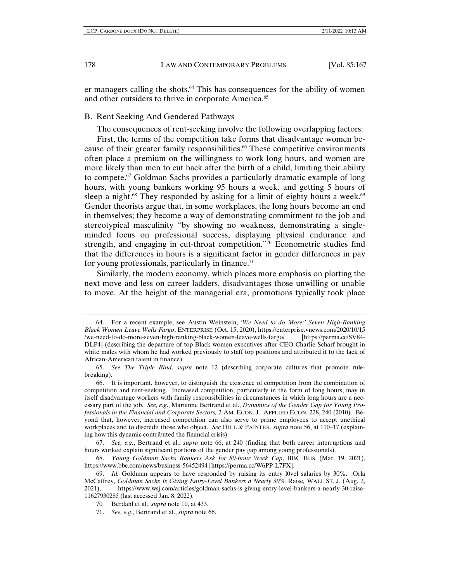er managers calling the shots.<sup>64</sup> This has consequences for the ability of women and other outsiders to thrive in corporate America.<sup>65</sup>

B. Rent Seeking And Gendered Pathways

The consequences of rent-seeking involve the following overlapping factors:

First, the terms of the competition take forms that disadvantage women because of their greater family responsibilities.66 These competitive environments often place a premium on the willingness to work long hours, and women are more likely than men to cut back after the birth of a child, limiting their ability to compete.67 Goldman Sachs provides a particularly dramatic example of long hours, with young bankers working 95 hours a week, and getting 5 hours of sleep a night.<sup>68</sup> They responded by asking for a limit of eighty hours a week.<sup>69</sup> Gender theorists argue that, in some workplaces, the long hours become an end in themselves; they become a way of demonstrating commitment to the job and stereotypical masculinity "by showing no weakness, demonstrating a singleminded focus on professional success, displaying physical endurance and strength, and engaging in cut-throat competition."<sup>70</sup> Econometric studies find that the differences in hours is a significant factor in gender differences in pay for young professionals, particularly in finance. $71$ 

Similarly, the modern economy, which places more emphasis on plotting the next move and less on career ladders, disadvantages those unwilling or unable to move. At the height of the managerial era, promotions typically took place

<sup>64.</sup> For a recent example, see Austin Weinstein, *'We Need to do More:' Seven High-Ranking Black Women Leave Wells Fargo*, ENTERPRISE (Oct. 15, 2020), https://enterprise.vnews.com/2020/10/15 /we-need-to-do-more-seven-high-ranking-black-women-leave-wells-fargo/ [https://perma.cc/SV84- DLP4] (describing the departure of top Black women executives after CEO Charlie Scharf brought in white males with whom he had worked previously to staff top positions and attributed it to the lack of African-American talent in finance).

<sup>65.</sup> *See The Triple Bind*, *supra* note 12 (describing corporate cultures that promote rulebreaking).

<sup>66.</sup> It is important, however, to distinguish the existence of competition from the combination of competition and rent-seeking. Increased competition, particularly in the form of long hours, may in itself disadvantage workers with family responsibilities in circumstances in which long hours are a necessary part of the job. *See, e.g*., Marianne Bertrand et al., *Dynamics of the Gender Gap for Young Professionals in the Financial and Corporate Sectors,* 2 AM. ECON. J.: APPLIED ECON. 228, 240 (2010). Beyond that, however, increased competition can also serve to prime employees to accept unethical workplaces and to discredit those who object. *See* HILL & PAINTER, *supra* note 56, at 110–17 (explaining how this dynamic contributed the financial crisis).

<sup>67.</sup> *See, e.g.*, Bertrand et al., *supra* note 66, at 240 (finding that both career interruptions and hours worked explain significant portions of the gender pay gap among young professionals).

<sup>68.</sup> *Young Goldman Sachs Bankers Ask for 80-hour Week Cap*, BBC BUS. (Mar. 19, 2021), https://www.bbc.com/news/business-56452494 [https://perma.cc/W6PP-L7FX].

<sup>69.</sup> *Id.* Goldman appears to have responded by raising its entry l0vel salaries by 30%. Orla McCaffrey, *Goldman Sachs Is Giving Entry-Level Bankers a Nearly 30%* Raise*,* WALL ST. J. (Aug. 2, 2021), https://www.wsj.com/articles/goldman-sachs-is-giving-entry-level-bankers-a-nearly-30-raise-11627930285 (last accessed Jan. 8, 2022).

<sup>70</sup>*.* Berdahl et al., *supra* note 10, at 433.

<sup>71.</sup> *See, e.g*., Bertrand et al., *supra* note 66.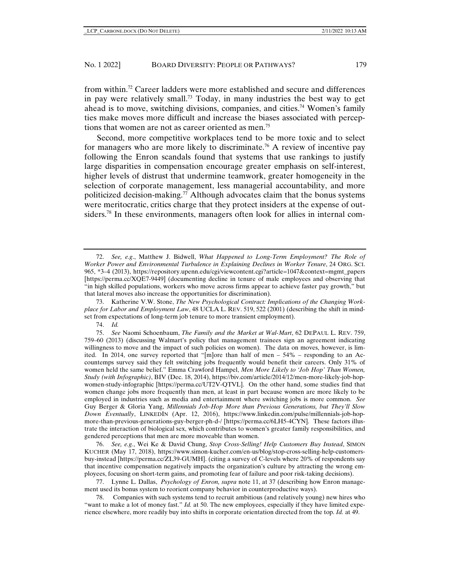from within.72 Career ladders were more established and secure and differences in pay were relatively small.73 Today, in many industries the best way to get ahead is to move, switching divisions, companies, and cities.<sup>74</sup> Women's family ties make moves more difficult and increase the biases associated with perceptions that women are not as career oriented as men.75

Second, more competitive workplaces tend to be more toxic and to select for managers who are more likely to discriminate.76 A review of incentive pay following the Enron scandals found that systems that use rankings to justify large disparities in compensation encourage greater emphasis on self-interest, higher levels of distrust that undermine teamwork, greater homogeneity in the selection of corporate management, less managerial accountability, and more politicized decision-making.<sup>77</sup> Although advocates claim that the bonus systems were meritocratic, critics charge that they protect insiders at the expense of outsiders.<sup>78</sup> In these environments, managers often look for allies in internal com-

74. *Id.*

76. *See, e.g.*, Wei Ke & David Chung, *Stop Cross-Selling! Help Customers Buy Instead*, SIMON KUCHER (May 17, 2018), https://www.simon-kucher.com/en-us/blog/stop-cross-selling-help-customersbuy-instead [https://perma.cc/ZL39-GUMH]. (citing a survey of C-levels where 20% of respondents say that incentive compensation negatively impacts the organization's culture by attracting the wrong employees, focusing on short-term gains, and promoting fear of failure and poor risk-taking decisions).

77. Lynne L. Dallas, *Psychology of Enron, supra* note 11, at 37 (describing how Enron management used its bonus system to reorient company behavior in counterproductive ways).

78. Companies with such systems tend to recruit ambitious (and relatively young) new hires who "want to make a lot of money fast." *Id.* at 50. The new employees, especially if they have limited experience elsewhere, more readily buy into shifts in corporate orientation directed from the top. *Id.* at 49.

<sup>72.</sup> *See, e.g*., Matthew J. Bidwell, *What Happened to Long-Term Employment? The Role of Worker Power and Environmental Turbulence in Explaining Declines in Worker Tenure*, 24 ORG. SCI. 965, \*3–4 (2013), https://repository.upenn.edu/cgi/viewcontent.cgi?article=1047&context=mgmt\_papers [https://perma.cc/XQE7-9449] (documenting decline in tenure of male employees and observing that "in high skilled populations, workers who move across firms appear to achieve faster pay growth," but that lateral moves also increase the opportunities for discrimination).

<sup>73.</sup> Katherine V.W. Stone, *The New Psychological Contract: Implications of the Changing Workplace for Labor and Employment Law*, 48 UCLA L. REV. 519, 522 (2001) (describing the shift in mindset from expectations of long-term job tenure to more transient employment).

<sup>75.</sup> *See* Naomi Schoenbaum, *The Family and the Market at Wal-Mart*, 62 DEPAUL L. REV. 759, 759–60 (2013) (discussing Walmart's policy that management trainees sign an agreement indicating willingness to move and the impact of such policies on women). The data on moves, however, is limited. In 2014, one survey reported that "[m]ore than half of men – 54% – responding to an Accountemps survey said they felt switching jobs frequently would benefit their careers. Only 31% of women held the same belief." Emma Crawford Hampel, *Men More Likely to 'Job Hop' Than Women, Study (with Infographic)*, BIV (Dec. 18, 2014), https://biv.com/article/2014/12/men-more-likely-job-hopwomen-study-infographic [https://perma.cc/UT2V-QTVL]. On the other hand, some studies find that women change jobs more frequently than men, at least in part because women are more likely to be employed in industries such as media and entertainment where switching jobs is more common. *See*  Guy Berger & Gloria Yang, *Millennials Job-Hop More than Previous Generations, but They'll Slow Down Eventually*, LINKEDIN (Apr. 12, 2016), https://www.linkedin.com/pulse/millennials-job-hopmore-than-previous-generations-guy-berger-ph-d-/ [https://perma.cc/6LH5-4CYN]. These factors illustrate the interaction of biological sex, which contributes to women's greater family responsibilities, and gendered perceptions that men are more moveable than women.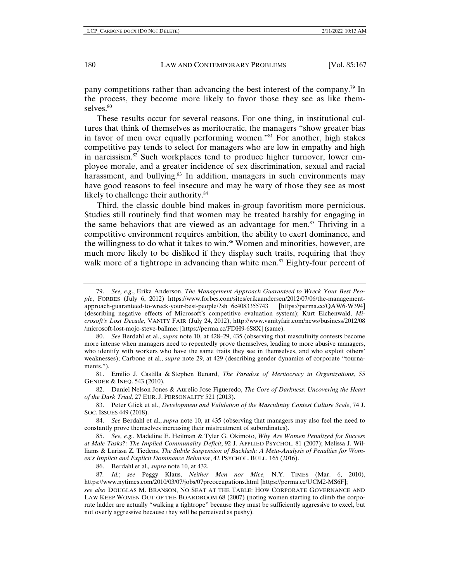pany competitions rather than advancing the best interest of the company.79 In the process, they become more likely to favor those they see as like themselves.<sup>80</sup>

These results occur for several reasons. For one thing, in institutional cultures that think of themselves as meritocratic, the managers "show greater bias in favor of men over equally performing women."81 For another, high stakes competitive pay tends to select for managers who are low in empathy and high in narcissism.82 Such workplaces tend to produce higher turnover, lower employee morale, and a greater incidence of sex discrimination, sexual and racial harassment, and bullying. $83$  In addition, managers in such environments may have good reasons to feel insecure and may be wary of those they see as most likely to challenge their authority.<sup>84</sup>

Third, the classic double bind makes in-group favoritism more pernicious. Studies still routinely find that women may be treated harshly for engaging in the same behaviors that are viewed as an advantage for men.<sup>85</sup> Thriving in a competitive environment requires ambition, the ability to exert dominance, and the willingness to do what it takes to win.<sup>86</sup> Women and minorities, however, are much more likely to be disliked if they display such traits, requiring that they walk more of a tightrope in advancing than white men.<sup>87</sup> Eighty-four percent of

80. *See* Berdahl et al., *supra* note 10, at 428–29, 435 (observing that masculinity contests become more intense when managers need to repeatedly prove themselves, leading to more abusive managers, who identify with workers who have the same traits they see in themselves, and who exploit others' weaknesses); Carbone et al., *supra* note 29, at 429 (describing gender dynamics of corporate "tournaments.").

81. Emilio J. Castilla & Stephen Benard, *The Paradox of Meritocracy in Organizations*, 55 GENDER & INEQ. 543 (2010).

82. Daniel Nelson Jones & Aurelio Jose Figueredo, *The Core of Darkness: Uncovering the Heart of the Dark Triad,* 27 EUR. J. PERSONALITY 521 (2013).

83. Peter Glick et al., *Development and Validation of the Masculinity Contest Culture Scale*, 74 J. SOC. ISSUES 449 (2018).

84. *See* Berdahl et al., *supra* note 10, at 435 (observing that managers may also feel the need to constantly prove themselves increasing their mistreatment of subordinates).

85. *See, e.g.*, Madeline E. Heilman & Tyler G. Okimoto, *Why Are Women Penalized for Success at Male Tasks?: The Implied Communality Deficit*, 92 J. APPLIED PSYCHOL. 81 (2007); Melissa J. Williams & Larissa Z. Tiedens, *The Subtle Suspension of Backlash: A Meta-Analysis of Penalties for Women's Implicit and Explicit Dominance Behavior*, 42 PSYCHOL. BULL. 165 (2016).

86. Berdahl et al.*, supra* note 10, at 432*.* 

87*. Id.*; *see* Peggy Klaus, *Neither Men nor Mice,* N.Y. TIMES (Mar. 6, 2010), https://www.nytimes.com/2010/03/07/jobs/07preoccupations.html [https://perma.cc/UCM2-MS6F];

*see also* DOUGLAS M. BRANSON, NO SEAT AT THE TABLE: HOW CORPORATE GOVERNANCE AND LAW KEEP WOMEN OUT OF THE BOARDROOM 68 (2007) (noting women starting to climb the corporate ladder are actually "walking a tightrope" because they must be sufficiently aggressive to excel, but not overly aggressive because they will be perceived as pushy).

<sup>79.</sup> *See, e.g*., Erika Anderson, *The Management Approach Guaranteed to Wreck Your Best People*, FORBES (July 6, 2012) https://www.forbes.com/sites/erikaandersen/2012/07/06/the-managementapproach-guaranteed-to-wreck-your-best-people/?sh=6c4083355743 [https://perma.cc/QAW6-W394] (describing negative effects of Microsoft's competitive evaluation system); Kurt Eichenwald, *Microsoft's Lost Decade*, VANITY FAIR (July 24, 2012), http://www.vanityfair.com/news/business/2012/08 /microsoft-lost-mojo-steve-ballmer [https://perma.cc/FDH9-6S8X] (same).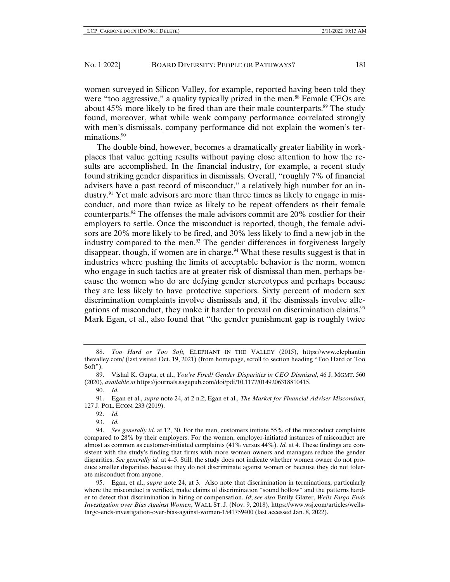women surveyed in Silicon Valley, for example, reported having been told they were "too aggressive," a quality typically prized in the men.<sup>88</sup> Female CEOs are about 45% more likely to be fired than are their male counterparts.<sup>89</sup> The study found, moreover, what while weak company performance correlated strongly with men's dismissals, company performance did not explain the women's terminations.<sup>90</sup>

The double bind, however, becomes a dramatically greater liability in workplaces that value getting results without paying close attention to how the results are accomplished. In the financial industry, for example, a recent study found striking gender disparities in dismissals. Overall, "roughly 7% of financial advisers have a past record of misconduct," a relatively high number for an industry.91 Yet male advisors are more than three times as likely to engage in misconduct, and more than twice as likely to be repeat offenders as their female counterparts.<sup>92</sup> The offenses the male advisors commit are  $20\%$  costlier for their employers to settle. Once the misconduct is reported, though, the female advisors are 20% more likely to be fired, and 30% less likely to find a new job in the industry compared to the men.<sup>93</sup> The gender differences in forgiveness largely disappear, though, if women are in charge.<sup>94</sup> What these results suggest is that in industries where pushing the limits of acceptable behavior is the norm, women who engage in such tactics are at greater risk of dismissal than men, perhaps because the women who do are defying gender stereotypes and perhaps because they are less likely to have protective superiors. Sixty percent of modern sex discrimination complaints involve dismissals and, if the dismissals involve allegations of misconduct, they make it harder to prevail on discrimination claims.95 Mark Egan, et al., also found that "the gender punishment gap is roughly twice

92. *Id.*

93. *Id.*

95. Egan, et al., *supra* note 24, at 3. Also note that discrimination in terminations, particularly where the misconduct is verified, make claims of discrimination "sound hollow" and the patterns harder to detect that discrimination in hiring or compensation. *Id*; *see also* Emily Glazer, *Wells Fargo Ends Investigation over Bias Against Women*, WALL ST. J. (Nov. 9, 2018), https://www.wsj.com/articles/wellsfargo-ends-investigation-over-bias-against-women-1541759400 (last accessed Jan. 8, 2022).

<sup>88.</sup> *Too Hard or Too Soft,* ELEPHANT IN THE VALLEY (2015), https://www.elephantin thevalley.com/ (last visited Oct. 19, 2021) (from homepage, scroll to section heading "Too Hard or Too Soft").

<sup>89.</sup> Vishal K. Gupta, et al., *You're Fired! Gender Disparities in CEO Dismissal*, 46 J. MGMT. 560 (2020), *available at* https://journals.sagepub.com/doi/pdf/10.1177/0149206318810415.

<sup>90.</sup> *Id.*

<sup>91.</sup> Egan et al., *supra* note 24, at 2 n.2; Egan et al., *The Market for Financial Adviser Misconduct*, 127 J. POL. ECON. 233 (2019).

<sup>94.</sup> *See generally id*. at 12, 30. For the men, customers initiate 55% of the misconduct complaints compared to 28% by their employers. For the women, employer-initiated instances of misconduct are almost as common as customer-initiated complaints (41% versus 44%). *Id.* at 4. These findings are consistent with the study's finding that firms with more women owners and managers reduce the gender disparities. *See generally id.* at 4–5. Still, the study does not indicate whether women owner do not produce smaller disparities because they do not discriminate against women or because they do not tolerate misconduct from anyone.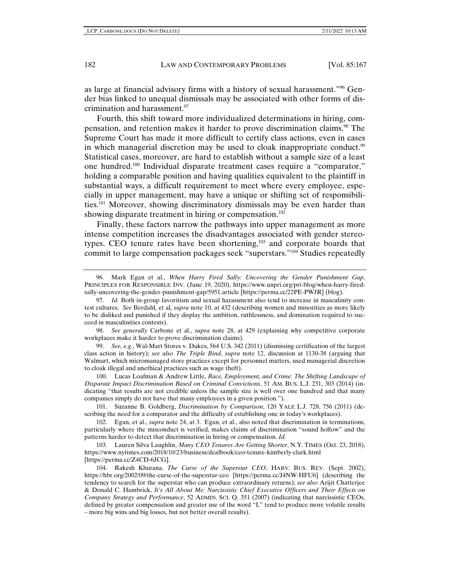as large at financial advisory firms with a history of sexual harassment."96 Gender bias linked to unequal dismissals may be associated with other forms of discrimination and harassment.97

Fourth, this shift toward more individualized determinations in hiring, compensation, and retention makes it harder to prove discrimination claims.98 The Supreme Court has made it more difficult to certify class actions, even in cases in which managerial discretion may be used to cloak inappropriate conduct.<sup>99</sup> Statistical cases, moreover, are hard to establish without a sample size of a least one hundred.100 Individual disparate treatment cases require a "comparator," holding a comparable position and having qualities equivalent to the plaintiff in substantial ways, a difficult requirement to meet where every employee, especially in upper management, may have a unique or shifting set of responsibilities.101 Moreover, showing discriminatory dismissals may be even harder than showing disparate treatment in hiring or compensation.<sup>102</sup>

Finally, these factors narrow the pathways into upper management as more intense competition increases the disadvantages associated with gender stereotypes. CEO tenure rates have been shortening,<sup>103</sup> and corporate boards that commit to large compensation packages seek "superstars."104 Studies repeatedly

98. *See generally* Carbone et al., *supra* note 28, at 429 (explaining why competitive corporate workplaces make it harder to prove discrimination claims).

99. *See, e.g.*, Wal-Mart Stores v. Dukes, 564 U.S. 342 (2011) (dismissing certification of the largest class action in history); *see also The Triple Bind*, *supra* note 12, discussion at 1130-38 (arguing that Walmart, which micromanaged store practices except for personnel matters, used managerial discretion to cloak illegal and unethical practices such as wage theft).

100. Lucas Loafman & Andrew Little, *Race, Employment, and Crime: The Shifting Landscape of Disparate Impact Discrimination Based on Criminal Convictions*, 51 AM. BUS. L.J. 251, 303 (2014) (indicating "that results are not credible unless the sample size is well over one hundred and that many companies simply do not have that many employees in a given position.").

101. Suzanne B. Goldberg, *Discrimination by Comparison*, 120 YALE L.J. 728, 756 (2011) (describing the need for a comparator and the difficulty of establishing one in today's workplaces).

102. Egan, et al., *supra* note 24, at 3. Egan, et al., also noted that discrimination in terminations, particularly where the misconduct is verified, makes claims of discrimination "sound hollow" and the patterns harder to detect that discrimination in hiring or compensation. *Id.* 

103. Lauren Silva Laughlin, *Many CEO Tenures Are Getting Shorter*, N.Y. TIMES (Oct. 23, 2018), https://www.nytimes.com/2018/10/23/business/dealbook/ceo-tenure-kimberly-clark.html [https://perma.cc/Z4CD-6JCG].

104. Rakesh Khurana, *The Curse of the Superstar CEO*, HARV. BUS. REV. (Sept. 2002), https://hbr.org/2002/09/the-curse-of-the-superstar-ceo [https://perma.cc/J4NW-HFU6] (describing the tendency to search for the superstar who can produce extraordinary returns); *see also* Arijit Chatterjee & Donald C. Hambrick, *It's All About Me: Narcissistic Chief Executive Officers and Their Effects on Company Strategy and Performance*, 52 ADMIN. SCI. Q. 351 (2007) (indicating that narcissistic CEOs, defined by greater compensation and greater use of the word "I," tend to produce more volatile results – more big wins and big losses, but not better overall results).

<sup>96.</sup> Mark Egan et al., *When Harry Fired Sally: Uncovering the Gender Punishment Gap*, PRINCIPLES FOR RESPONSIBLE INV. (June 19, 2020), https://www.unpri.org/pri-blog/when-harry-firedsally-uncovering-the-gender-punishment-gap/5951.article [https://perma.cc/22PE-PWJR] (blog).

<sup>97.</sup> *Id.* Both in-group favoritism and sexual harassment also tend to increase in masculinity contest cultures. *See* Berdahl*,* et al*, supra* note 10, at 432 (describing women and minorities as more likely to be disliked and punished if they display the ambition, ruthlessness, and domination required to succeed in masculinities contests).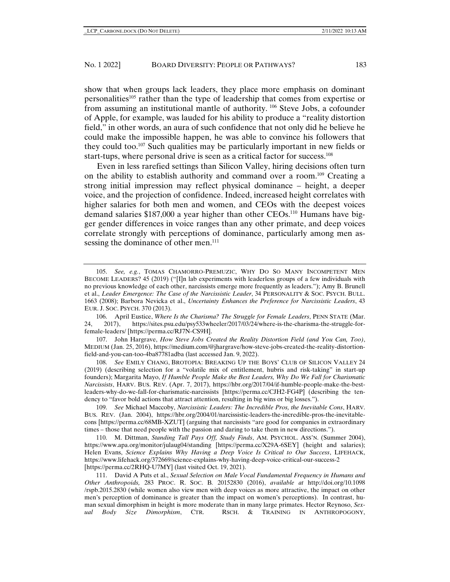show that when groups lack leaders, they place more emphasis on dominant personalities105 rather than the type of leadership that comes from expertise or from assuming an institutional mantle of authority. 106 Steve Jobs, a cofounder of Apple, for example, was lauded for his ability to produce a "reality distortion field," in other words, an aura of such confidence that not only did he believe he could make the impossible happen, he was able to convince his followers that they could too.107 Such qualities may be particularly important in new fields or start-tups, where personal drive is seen as a critical factor for success.<sup>108</sup>

Even in less rarefied settings than Silicon Valley, hiring decisions often turn on the ability to establish authority and command over a room.109 Creating a strong initial impression may reflect physical dominance – height, a deeper voice, and the projection of confidence. Indeed, increased height correlates with higher salaries for both men and women, and CEOs with the deepest voices demand salaries \$187,000 a year higher than other CEOs.110 Humans have bigger gender differences in voice ranges than any other primate, and deep voices correlate strongly with perceptions of dominance, particularly among men assessing the dominance of other men.<sup>111</sup>

107. John Hargrave, *How Steve Jobs Created the Reality Distortion Field (and You Can, Too)*, MEDIUM (Jan. 25, 2016), https://medium.com/@jhargrave/how-steve-jobs-created-the-reality-distortionfield-and-you-can-too-4ba87781adba (last accessed Jan. 9, 2022).

108. *See* EMILY CHANG, BROTOPIA: BREAKING UP THE BOYS' CLUB OF SILICON VALLEY 24 (2019) (describing selection for a "volatile mix of entitlement, hubris and risk-taking" in start-up founders); Margarita Mayo, *If Humble People Make the Best Leaders, Why Do We Fall for Charismatic Narcissists*, HARV. BUS. REV. (Apr. 7, 2017), https://hbr.org/2017/04/if-humble-people-make-the-bestleaders-why-do-we-fall-for-charismatic-narcissists [https://perma.cc/CJH2-FG4P] (describing the tendency to "favor bold actions that attract attention, resulting in big wins or big losses.").

109. *See* Michael Maccoby, *Narcissistic Leaders: The Incredible Pros, the Inevitable Cons*, HARV. BUS. REV. (Jan. 2004), https://hbr.org/2004/01/narcissistic-leaders-the-incredible-pros-the-inevitablecons [https://perma.cc/68MB-XZUT] (arguing that narcissists "are good for companies in extraordinary times – those that need people with the passion and daring to take them in new directions.").

110. M. Dittman, *Standing Tall Pays Off, Study Finds*, AM. PSYCHOL. ASS'N. (Summer 2004), https://www.apa.org/monitor/julaug04/standing [https://perma.cc/X29A-6SEY] (height and salaries); Helen Evans, *Science Explains Why Having a Deep Voice Is Critical to Our Success*, LIFEHACK, https://www.lifehack.org/372669/science-explains-why-having-deep-voice-critical-our-success-2 [https://perma.cc/2RHQ-U7MY] (last visited Oct. 19, 2021).

111. David A Puts et al., *Sexual Selection on Male Vocal Fundamental Frequency in Humans and Other Anthropoids,* 283 PROC. R. SOC. B*.* 20152830 (2016), *available at* http://doi.org/10.1098 /rspb.2015.2830 (while women also view men with deep voices as more attractive, the impact on other men's perception of dominance is greater than the impact on women's perceptions). In contrast, human sexual dimorphism in height is more moderate than in many large primates. Hector Reynoso, *Sexual Body Size Dimorphism*, CTR. RSCH. & TRAINING IN ANTHROPOGONY,

<sup>105.</sup> *See, e.g.*, TOMAS CHAMORRO-PREMUZIC, WHY DO SO MANY INCOMPETENT MEN BECOME LEADERS? 45 (2019) ("[I]n lab experiments with leaderless groups of a few individuals with no previous knowledge of each other, narcissists emerge more frequently as leaders."); Amy B. Brunell et al., *Leader Emergence: The Case of the Narcissistic Leader*, 34 PERSONALITY & SOC. PSYCH. BULL. 1663 (2008); Barbora Nevicka et al., *Uncertainty Enhances the Preference for Narcissistic Leaders*, 43 EUR. J. SOC. PSYCH. 370 (2013).

<sup>106.</sup> April Eustice, *Where Is the Charisma? The Struggle for Female Leaders*, PENN STATE (Mar. 24, 2017), https://sites.psu.edu/psy533wheeler/2017/03/24/where-is-the-charisma-the-struggle-forfemale-leaders/ [https://perma.cc/RJ7N-CS9H].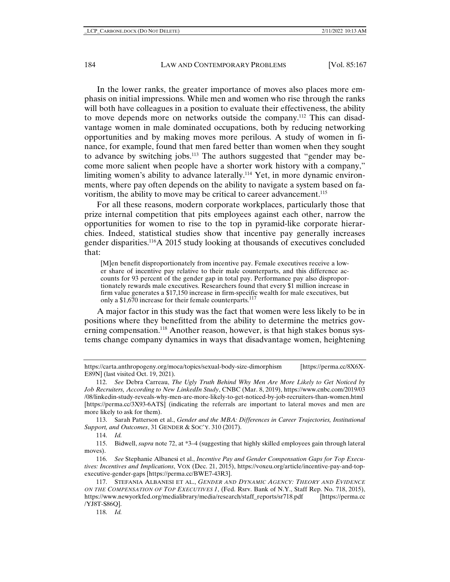In the lower ranks, the greater importance of moves also places more emphasis on initial impressions. While men and women who rise through the ranks will both have colleagues in a position to evaluate their effectiveness, the ability to move depends more on networks outside the company.112 This can disadvantage women in male dominated occupations, both by reducing networking opportunities and by making moves more perilous. A study of women in finance, for example, found that men fared better than women when they sought to advance by switching jobs.113 The authors suggested that "gender may become more salient when people have a shorter work history with a company," limiting women's ability to advance laterally.114 Yet, in more dynamic environments, where pay often depends on the ability to navigate a system based on favoritism, the ability to move may be critical to career advancement.<sup>115</sup>

For all these reasons, modern corporate workplaces, particularly those that prize internal competition that pits employees against each other, narrow the opportunities for women to rise to the top in pyramid-like corporate hierarchies. Indeed, statistical studies show that incentive pay generally increases gender disparities.116A 2015 study looking at thousands of executives concluded that:

[M]en benefit disproportionately from incentive pay. Female executives receive a lower share of incentive pay relative to their male counterparts, and this difference accounts for 93 percent of the gender gap in total pay. Performance pay also disproportionately rewards male executives. Researchers found that every \$1 million increase in firm value generates a \$17,150 increase in firm-specific wealth for male executives, but only a \$1,670 increase for their female counterparts.<sup>117</sup>

A major factor in this study was the fact that women were less likely to be in positions where they benefitted from the ability to determine the metrics governing compensation.<sup>118</sup> Another reason, however, is that high stakes bonus systems change company dynamics in ways that disadvantage women, heightening

113. Sarah Patterson et al., *Gender and the MBA: Differences in Career Trajectories, Institutional Support, and Outcomes*, 31 GENDER & SOC'Y. 310 (2017).

115. Bidwell, *supra* note 72, at \*3–4 (suggesting that highly skilled employees gain through lateral moves).

116. *See* Stephanie Albanesi et al., *Incentive Pay and Gender Compensation Gaps for Top Executives: Incentives and Implications*, VOX (Dec. 21, 2015), https://voxeu.org/article/incentive-pay-and-topexecutive-gender-gaps [https://perma.cc/BWE7-43R3].

118. *Id.*

https://carta.anthropogeny.org/moca/topics/sexual-body-size-dimorphism [https://perma.cc/8X6X-E89N] (last visited Oct. 19, 2021).

<sup>112.</sup> *See* Debra Carreau, *The Ugly Truth Behind Why Men Are More Likely to Get Noticed by Job Recruiters, According to New LinkedIn Study*, CNBC (Mar. 8, 2019), https://www.cnbc.com/2019/03 /08/linkedin-study-reveals-why-men-are-more-likely-to-get-noticed-by-job-recruiters-than-women.html [https://perma.cc/3X93-6ATS] (indicating the referrals are important to lateral moves and men are more likely to ask for them).

<sup>114.</sup> *Id.*

<sup>117.</sup> STEFANIA ALBANESI ET AL., *GENDER AND DYNAMIC AGENCY: THEORY AND EVIDENCE ON THE COMPENSATION OF TOP EXECUTIVES 1*, (Fed. Rsrv. Bank of N.Y., Staff Rep. No. 718, 2015), https://www.newyorkfed.org/medialibrary/media/research/staff\_reports/sr718.pdf [https://perma.cc /YJ8T-S86Q].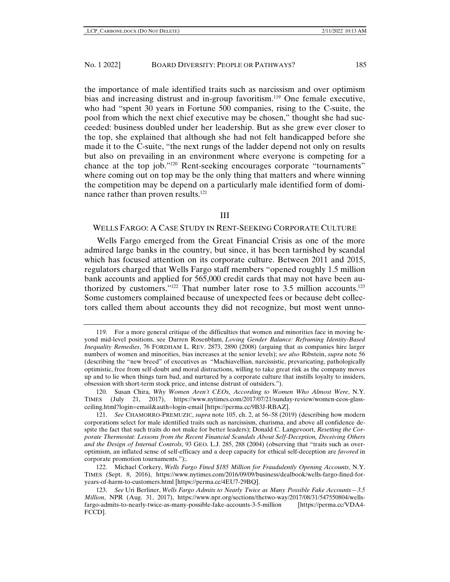the importance of male identified traits such as narcissism and over optimism bias and increasing distrust and in-group favoritism.<sup>119</sup> One female executive, who had "spent 30 years in Fortune 500 companies, rising to the C-suite, the pool from which the next chief executive may be chosen," thought she had succeeded: business doubled under her leadership. But as she grew ever closer to the top, she explained that although she had not felt handicapped before she made it to the C-suite, "the next rungs of the ladder depend not only on results but also on prevailing in an environment where everyone is competing for a chance at the top job."120 Rent-seeking encourages corporate "tournaments" where coming out on top may be the only thing that matters and where winning the competition may be depend on a particularly male identified form of dominance rather than proven results.<sup>121</sup>

## III

# WELLS FARGO: A CASE STUDY IN RENT-SEEKING CORPORATE CULTURE

Wells Fargo emerged from the Great Financial Crisis as one of the more admired large banks in the country, but since, it has been tarnished by scandal which has focused attention on its corporate culture. Between 2011 and 2015, regulators charged that Wells Fargo staff members "opened roughly 1.5 million bank accounts and applied for 565,000 credit cards that may not have been authorized by customers."<sup>122</sup> That number later rose to 3.5 million accounts.<sup>123</sup> Some customers complained because of unexpected fees or because debt collectors called them about accounts they did not recognize, but most went unno-

<sup>119.</sup> For a more general critique of the difficulties that women and minorities face in moving beyond mid-level positions, see Darren Rosenblum, *Loving Gender Balance: Reframing Identity-Based Inequality Remedies*, 76 FORDHAM L. REV. 2873, 2890 (2008) (arguing that as companies hire larger numbers of women and minorities, bias increases at the senior levels); *see also* Ribstein, *supra* note 56 (describing the "new breed" of executives as "Machiavellian, narcissistic, prevaricating, pathologically optimistic, free from self-doubt and moral distractions, willing to take great risk as the company moves up and to lie when things turn bad, and nurtured by a corporate culture that instills loyalty to insiders, obsession with short-term stock price, and intense distrust of outsiders.").

<sup>120.</sup> Susan Chira*, Why Women Aren't CEOs, According to Women Who Almost Were*, N.Y. TIMES (July 21, 2017), https://www.nytimes.com/2017/07/21/sunday-review/women-ceos-glassceiling.html?login=email&auth=login-email [https://perma.cc/9B3J-RBAZ].

<sup>121.</sup> *See* CHAMORRO-PREMUZIC, *supra* note 105, ch. 2, at 56–58 (2019) (describing how modern corporations select for male identified traits such as narcissism, charisma, and above all confidence despite the fact that such traits do not make for better leaders); Donald C. Langevoort, *Resetting the Corporate Thermostat: Lessons from the Recent Financial Scandals About Self-Deception, Deceiving Others and the Design of Internal Controls*, 93 GEO. L.J. 285, 288 (2004) (observing that "traits such as overoptimism, an inflated sense of self-efficacy and a deep capacity for ethical self-deception are *favored* in corporate promotion tournaments.");.

<sup>122.</sup> Michael Corkery, *Wells Fargo Fined \$185 Million for Fraudulently Opening Accounts*, N.Y. TIMES (Sept. 8, 2016), https://www.nytimes.com/2016/09/09/business/dealbook/wells-fargo-fined-foryears-of-harm-to-customers.html [https://perma.cc/4EU7-29BQ].

<sup>123.</sup> *See* Uri Berliner, *Wells Fargo Admits to Nearly Twice as Many Possible Fake Accounts—3.5 Million*, NPR (Aug. 31, 2017), https://www.npr.org/sections/thetwo-way/2017/08/31/547550804/wellsfargo-admits-to-nearly-twice-as-many-possible-fake-accounts-3-5-million [https://perma.cc/VDA4- FCCD].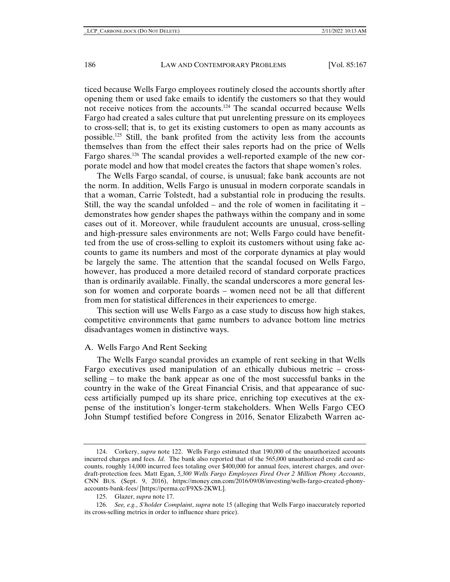ticed because Wells Fargo employees routinely closed the accounts shortly after opening them or used fake emails to identify the customers so that they would not receive notices from the accounts.<sup>124</sup> The scandal occurred because Wells Fargo had created a sales culture that put unrelenting pressure on its employees to cross-sell; that is, to get its existing customers to open as many accounts as possible.125 Still, the bank profited from the activity less from the accounts themselves than from the effect their sales reports had on the price of Wells Fargo shares.126 The scandal provides a well-reported example of the new corporate model and how that model creates the factors that shape women's roles.

The Wells Fargo scandal, of course, is unusual; fake bank accounts are not the norm. In addition, Wells Fargo is unusual in modern corporate scandals in that a woman, Carrie Tolstedt, had a substantial role in producing the results. Still, the way the scandal unfolded – and the role of women in facilitating it – demonstrates how gender shapes the pathways within the company and in some cases out of it. Moreover, while fraudulent accounts are unusual, cross-selling and high-pressure sales environments are not; Wells Fargo could have benefitted from the use of cross-selling to exploit its customers without using fake accounts to game its numbers and most of the corporate dynamics at play would be largely the same. The attention that the scandal focused on Wells Fargo, however, has produced a more detailed record of standard corporate practices than is ordinarily available. Finally, the scandal underscores a more general lesson for women and corporate boards – women need not be all that different from men for statistical differences in their experiences to emerge.

This section will use Wells Fargo as a case study to discuss how high stakes, competitive environments that game numbers to advance bottom line metrics disadvantages women in distinctive ways.

#### A. Wells Fargo And Rent Seeking

The Wells Fargo scandal provides an example of rent seeking in that Wells Fargo executives used manipulation of an ethically dubious metric – crossselling – to make the bank appear as one of the most successful banks in the country in the wake of the Great Financial Crisis, and that appearance of success artificially pumped up its share price, enriching top executives at the expense of the institution's longer-term stakeholders. When Wells Fargo CEO John Stumpf testified before Congress in 2016, Senator Elizabeth Warren ac-

<sup>124.</sup> Corkery, *supra* note 122. Wells Fargo estimated that 190,000 of the unauthorized accounts incurred charges and fees. *Id*. The bank also reported that of the 565,000 unauthorized credit card accounts, roughly 14,000 incurred fees totaling over \$400,000 for annual fees, interest charges, and overdraft-protection fees. Matt Egan, *5,300 Wells Fargo Employees Fired Over 2 Million Phony Accounts*, CNN BUS. (Sept. 9, 2016), https://money.cnn.com/2016/09/08/investing/wells-fargo-created-phonyaccounts-bank-fees/ [https://perma.cc/F9XS-2KWL].

<sup>125.</sup> Glazer, *supra* note 17.

<sup>126.</sup> *See, e.g.*, *S'holder Complaint*, *supra* note 15 (alleging that Wells Fargo inaccurately reported its cross-selling metrics in order to influence share price).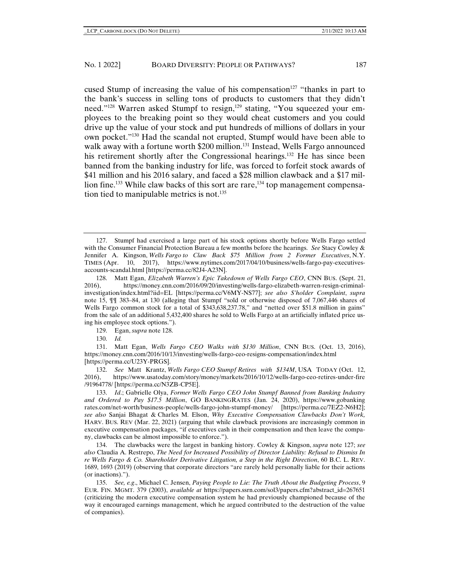cused Stump of increasing the value of his compensation<sup>127</sup> "thanks in part to the bank's success in selling tons of products to customers that they didn't need."<sup>128</sup> Warren asked Stumpf to resign,<sup>129</sup> stating, "You squeezed your employees to the breaking point so they would cheat customers and you could drive up the value of your stock and put hundreds of millions of dollars in your own pocket."130 Had the scandal not erupted, Stumpf would have been able to walk away with a fortune worth \$200 million.<sup>131</sup> Instead, Wells Fargo announced his retirement shortly after the Congressional hearings.<sup>132</sup> He has since been banned from the banking industry for life, was forced to forfeit stock awards of \$41 million and his 2016 salary, and faced a \$28 million clawback and a \$17 million fine.<sup>133</sup> While claw backs of this sort are rare,<sup>134</sup> top management compensation tied to manipulable metrics is not.<sup>135</sup>

129. Egan, *supra* note 128.

130. *Id.*

131. Matt Egan, *Wells Fargo CEO Walks with \$130 Million*, CNN BUS. (Oct. 13, 2016), https://money.cnn.com/2016/10/13/investing/wells-fargo-ceo-resigns-compensation/index.html [https://perma.cc/U23Y-PRGS].

132. *See* Matt Krantz, *Wells Fargo CEO Stumpf Retires with \$134M*, USA TODAY (Oct. 12, 2016), https://www.usatoday.com/story/money/markets/2016/10/12/wells-fargo-ceo-retires-under-fire /91964778/ [https://perma.cc/N3ZB-CP5E].

133. *Id*.; Gabrielle Olya, *Former Wells Fargo CEO John Stumpf Banned from Banking Industry and Ordered to Pay \$17.5 Million*, GO BANKINGRATES (Jan. 24, 2020), https://www.gobanking rates.com/net-worth/business-people/wells-fargo-john-stumpf-money/ [https://perma.cc/7EZ2-N6H2]; *see also* Sanjai Bhagat & Charles M. Elson, *Why Executive Compensation Clawbacks Don't Work,*  HARV. BUS. REV (Mar. 22, 2021) (arguing that while clawback provisions are increasingly common in executive compensation packages, "if executives cash in their compensation and then leave the company, clawbacks can be almost impossible to enforce.").

134. The clawbacks were the largest in banking history. Cowley & Kingson, *supra* note 127; *see also* Claudia A. Restrepo, *The Need for Increased Possibility of Director Liability: Refusal to Dismiss In re Wells Fargo & Co. Shareholder Derivative Litigation, a Step in the Right Direction*, 60 B.C. L. REV. 1689, 1693 (2019) (observing that corporate directors "are rarely held personally liable for their actions (or inactions).").

135. *See, e.g*., Michael C. Jensen, *Paying People to Lie: The Truth About the Budgeting Process*, 9 EUR. FIN. MGMT. 379 (2003), *available at* https://papers.ssrn.com/sol3/papers.cfm?abstract\_id=267651 (criticizing the modern executive compensation system he had previously championed because of the way it encouraged earnings management, which he argued contributed to the destruction of the value of companies).

<sup>127.</sup> Stumpf had exercised a large part of his stock options shortly before Wells Fargo settled with the Consumer Financial Protection Bureau a few months before the hearings. *See* Stacy Cowley & Jennifer A. Kingson, *Wells Fargo to Claw Back \$75 Million from 2 Former Executives*, N.Y. TIMES (Apr. 10, 2017), https://www.nytimes.com/2017/04/10/business/wells-fargo-pay-executivesaccounts-scandal.html [https://perma.cc/82J4-A23N].

<sup>128.</sup> Matt Egan, *Elizabeth Warren's Epic Takedown of Wells Fargo CEO*, CNN BUS. (Sept. 21, 2016), https://money.cnn.com/2016/09/20/investing/wells-fargo-elizabeth-warren-resign-criminalinvestigation/index.html?iid=EL [https://perma.cc/V6MY-NS77]; *see also S'holder Complaint*, *supra*  note 15, ¶¶ 383–84, at 130 (alleging that Stumpf "sold or otherwise disposed of 7,067,446 shares of Wells Fargo common stock for a total of \$343,638,237.78," and "netted over \$51.8 million in gains" from the sale of an additional 5,432,400 shares he sold to Wells Fargo at an artificially inflated price using his employee stock options.").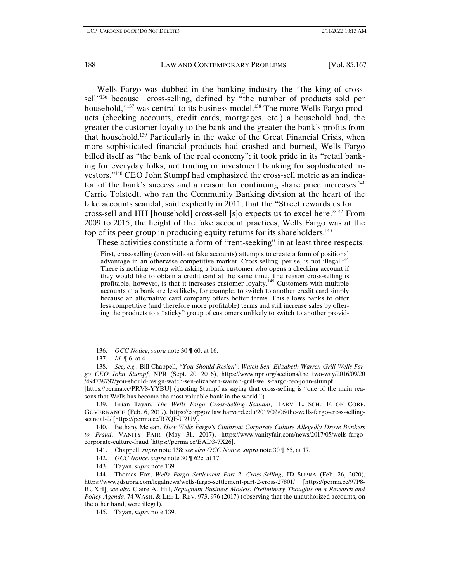Wells Fargo was dubbed in the banking industry the "the king of crosssell"<sup>136</sup> because cross-selling, defined by "the number of products sold per household,"<sup>137</sup> was central to its business model.<sup>138</sup> The more Wells Fargo products (checking accounts, credit cards, mortgages, etc.) a household had, the greater the customer loyalty to the bank and the greater the bank's profits from that household.139 Particularly in the wake of the Great Financial Crisis, when more sophisticated financial products had crashed and burned, Wells Fargo billed itself as "the bank of the real economy"; it took pride in its "retail banking for everyday folks, not trading or investment banking for sophisticated investors."140 CEO John Stumpf had emphasized the cross-sell metric as an indicator of the bank's success and a reason for continuing share price increases.<sup>141</sup> Carrie Tolstedt, who ran the Community Banking division at the heart of the fake accounts scandal, said explicitly in 2011, that the "Street rewards us for ... cross-sell and HH [household] cross-sell [s]o expects us to excel here."142 From 2009 to 2015, the height of the fake account practices, Wells Fargo was at the top of its peer group in producing equity returns for its shareholders.<sup>143</sup>

These activities constitute a form of "rent-seeking" in at least three respects:

First, cross-selling (even without fake accounts) attempts to create a form of positional advantage in an otherwise competitive market. Cross-selling, per se, is not illegal.<sup>144</sup> There is nothing wrong with asking a bank customer who opens a checking account if they would like to obtain a credit card at the same time. The reason cross-selling is profitable, however, is that it increases customer loyalty.<sup>145</sup> Customers with multiple accounts at a bank are less likely, for example, to switch to another credit card simply because an alternative card company offers better terms. This allows banks to offer less competitive (and therefore more profitable) terms and still increase sales by offering the products to a "sticky" group of customers unlikely to switch to another provid-

[https://perma.cc/PRV8-YYBU] (quoting Stumpf as saying that cross-selling is "one of the main reasons that Wells has become the most valuable bank in the world.").

139. Brian Tayan, *The Wells Fargo Cross-Selling Scandal*, HARV. L. SCH.: F. ON CORP. GOVERNANCE (Feb. 6, 2019), https://corpgov.law.harvard.edu/2019/02/06/the-wells-fargo-cross-sellingscandal-2/ [https://perma.cc/R7QF-U2U9].

140. Bethany Mclean, *How Wells Fargo's Cutthroat Corporate Culture Allegedly Drove Bankers to Fraud*, VANITY FAIR (May 31, 2017), https://www.vanityfair.com/news/2017/05/wells-fargocorporate-culture-fraud [https://perma.cc/EAD3-7X26].

141. Chappell, *supra* note 138; *see also OCC Notice*, *supra* note 30 ¶ 65, at 17.

142. *OCC Notice*, *supra* note 30 ¶ 62c, at 17.

143. Tayan, *supra* note 139.

144. Thomas Fox, *Wells Fargo Settlement Part 2: Cross-Selling*, JD SUPRA (Feb. 26, 2020), https://www.jdsupra.com/legalnews/wells-fargo-settlement-part-2-cross-27801/ [https://perma.cc/97P8- BUXH]; *see also* Claire A. Hill, *Repugnant Business Models: Preliminary Thoughts on a Research and Policy Agenda*, 74 WASH. & LEE L. REV. 973, 976 (2017) (observing that the unauthorized accounts, on the other hand, were illegal).

145. Tayan, *supra* note 139.

<sup>136.</sup> *OCC Notice*, *supra* note 30 ¶ 60, at 16.

<sup>137.</sup> *Id.* ¶ 6, at 4.

<sup>138.</sup> *See, e.g.*, Bill Chappell, *"You Should Resign": Watch Sen. Elizabeth Warren Grill Wells Fargo CEO John Stumpf*, NPR (Sept. 20, 2016), https://www.npr.org/sections/the two-way/2016/09/20 /494738797/you-should-resign-watch-sen-elizabeth-warren-grill-wells-fargo-ceo-john-stumpf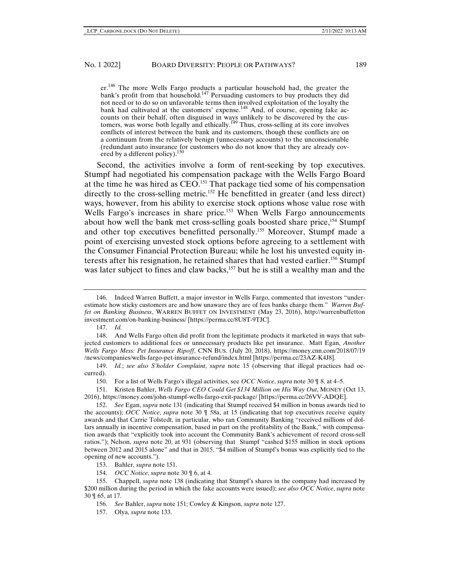er.146 The more Wells Fargo products a particular household had, the greater the bank's profit from that household.<sup>147</sup> Persuading customers to buy products they did not need or to do so on unfavorable terms then involved exploitation of the loyalty the bank had cultivated at the customers' expense.<sup>148</sup> And, of course, opening fake accounts on their behalf, often disguised in ways unlikely to be discovered by the customers, was worse both legally and ethically.<sup>149</sup> Thus, cross-selling at its core involves conflicts of interest between the bank and its customers, though these conflicts are on a continuum from the relatively benign (unnecessary accounts) to the unconscionable (redundant auto insurance for customers who do not know that they are already covered by a different policy).<sup>150</sup>

Second, the activities involve a form of rent-seeking by top executives. Stumpf had negotiated his compensation package with the Wells Fargo Board at the time he was hired as CEO.151 That package tied some of his compensation directly to the cross-selling metric.<sup>152</sup> He benefitted in greater (and less direct) ways, however, from his ability to exercise stock options whose value rose with Wells Fargo's increases in share price.<sup>153</sup> When Wells Fargo announcements about how well the bank met cross-selling goals boosted share price,<sup>154</sup> Stumpf and other top executives benefitted personally.155 Moreover, Stumpf made a point of exercising unvested stock options before agreeing to a settlement with the Consumer Financial Protection Bureau; while he lost his unvested equity interests after his resignation, he retained shares that had vested earlier.<sup>156</sup> Stumpf was later subject to fines and claw backs,<sup>157</sup> but he is still a wealthy man and the

147. *Id.*

149. *Id.*; *see also S'holder Complaint*, *supra* note 15 (observing that illegal practices had occurred).

150. For a list of Wells Fargo's illegal activities, see *OCC Notice*, *supra* note 30 ¶ 8, at 4–5.

151. Kristen Bahler, *Wells Fargo CEO Could Get \$134 Million on His Way Out*, MONEY (Oct 13, 2016), https://money.com/john-stumpf-wells-fargo-exit-package/ [https://perma.cc/26VV-ADQE].

153. Bahler, *supra* note 151.

154. *OCC Notice*, *supra* note 30 ¶ 6, at 4.

157. Olya, *supra* note 133.

<sup>146.</sup> Indeed Warren Buffett, a major investor in Wells Fargo, commented that investors "underestimate how sticky customers are and how unaware they are of fees banks charge them." *Warren Buffet on Banking Business*, WARREN BUFFET ON INVESTMENT (May 23, 2016), http://warrenbuffetton investment.com/on-banking-business/ [https://perma.cc/8U8T-9TJC].

<sup>148.</sup> And Wells Fargo often did profit from the legitimate products it marketed in ways that subjected customers to additional fees or unnecessary products like pet insurance. Matt Egan, *Another Wells Fargo Mess: Pet Insurance Ripoff*, CNN BUS. (July 20, 2018), https://money.cnn.com/2018/07/19 /news/companies/wells-fargo-pet-insurance-refund/index.html [https://perma.cc/23AZ-K4J8].

<sup>152.</sup> *See* Egan, *supra* note 131 (indicating that Stumpf received \$4 million in bonus awards tied to the accounts); *OCC Notice*, *supra* note 30 ¶ 58a, at 15 (indicating that top executives receive equity awards and that Carrie Tolstedt, in particular, who ran Community Banking "received millions of dollars annually in incentive compensation, based in part on the profitability of the Bank," with compensation awards that "explicitly took into account the Community Bank's achievement of record cross-sell ratios."); Nelson, *supra* note 20, at 931 (observing that Stumpf "cashed \$155 million in stock options between 2012 and 2015 alone" and that in 2015, "\$4 million of Stumpf's bonus was explicitly tied to the opening of new accounts.").

<sup>155.</sup> Chappell, *supra* note 138 (indicating that Stumpf's shares in the company had increased by \$200 million during the period in which the fake accounts were issued); *see also OCC Notice*, *supra* note 30 ¶ 65, at 17.

<sup>156.</sup> *See* Bahler, *supra* note 151; Cowley & Kingson, *supra* note 127.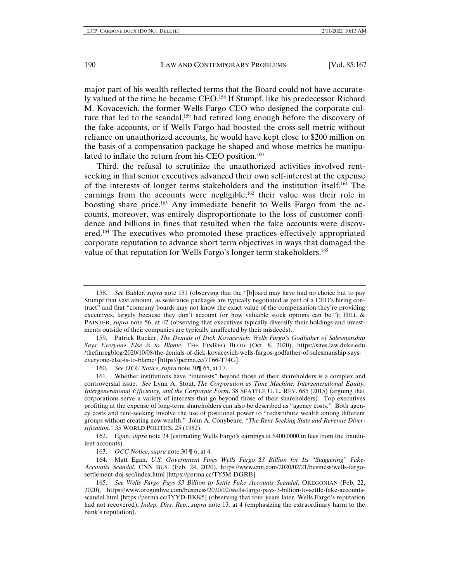major part of his wealth reflected terms that the Board could not have accurately valued at the time he became CEO.158 If Stumpf, like his predecessor Richard M. Kovacevich, the former Wells Fargo CEO who designed the corporate culture that led to the scandal,<sup>159</sup> had retired long enough before the discovery of the fake accounts, or if Wells Fargo had boosted the cross-sell metric without reliance on unauthorized accounts, he would have kept close to \$200 million on the basis of a compensation package he shaped and whose metrics he manipulated to inflate the return from his CEO position.<sup>160</sup>

Third, the refusal to scrutinize the unauthorized activities involved rentseeking in that senior executives advanced their own self-interest at the expense of the interests of longer terms stakeholders and the institution itself.161 The earnings from the accounts were negligible;<sup>162</sup> their value was their role in boosting share price.<sup>163</sup> Any immediate benefit to Wells Fargo from the accounts, moreover, was entirely disproportionate to the loss of customer confidence and billions in fines that resulted when the fake accounts were discovered.164 The executives who promoted these practices effectively appropriated corporate reputation to advance short term objectives in ways that damaged the value of that reputation for Wells Fargo's longer term stakeholders.<sup>165</sup>

<sup>158.</sup> *See* Bahler, *supra* note 151 (observing that the "[b]oard may have had no choice but to pay Stumpf that vast amount, as severance packages are typically negotiated as part of a CEO's hiring contract" and that "company boards may not know the exact value of the compensation they're providing executives, largely because they don't account for how valuable stock options can be."); HILL & PAINTER, *supra* note 56, at 47 (observing that executives typically diversify their holdings and investments outside of their companies are typically unaffected by their misdeeds).

<sup>159.</sup> Patrick Rucker, *The Denials of Dick Kovacevich: Wells Fargo's Godfather of Salesmanship Says Everyone Else is to Blame*, THE FINREG BLOG (Oct. 8, 2020), https://sites.law.duke.edu /thefinregblog/2020/10/08/the-denials-of-dick-kovacevich-wells-fargos-godfather-of-salesmanship-sayseveryone-else-is-to-blame/ [https://perma.cc/7T66-T74G].

<sup>160.</sup> *See OCC Notice*, *supra* note 30¶ 65, at 17.

<sup>161.</sup> Whether institutions have "interests" beyond those of their shareholders is a complex and controversial issue. *See* Lynn A. Stout, *The Corporation as Time Machine: Intergenerational Equity, Intergenerational Efficiency, and the Corporate Form*, 38 SEATTLE U. L. REV. 685 (2015) (arguing that corporations serve a variety of interests that go beyond those of their shareholders). Top executives profiting at the expense of long-term shareholders can also be described as "agency costs." Both agency costs and rent-seeking involve the use of positional power to "redistribute wealth among different groups without creating new wealth." John A. Conybeare, *"The Rent-Seeking State and Revenue Diversification,"* 35 WORLD POLITICS. 25 (1982).

<sup>162.</sup> Egan, *supra* note 24 (estimating Wells Fargo's earnings at \$400,0000 in fees from the fraudulent accounts).

<sup>163.</sup> *OCC Notice*, *supra* note 30 ¶ 6, at 4.

<sup>164.</sup> Matt Egan, *U.S. Government Fines Wells Fargo \$3 Billion for Its "Staggering" Fake-Accounts Scandal*, CNN BUS. (Feb. 24, 2020), https://www.cnn.com/2020/02/21/business/wells-fargosettlement-doj-sec/index.html [https://perma.cc/TY5M-DGRB].

<sup>165.</sup> *See Wells Fargo Pays \$3 Billion to Settle Fake Accounts Scandal*, OREGONIAN (Feb. 22, 2020), https://www.oregonlive.com/business/2020/02/wells-fargo-pays-3-billion-to-settle-fake-accountsscandal.html [https://perma.cc/3YYD-BKK5] (observing that four years later, Wells Fargo's reputation had not recovered); *Indep. Dirs. Rep.*, *supra* note 13*,* at 4 (emphasizing the extraordinary harm to the bank's reputation).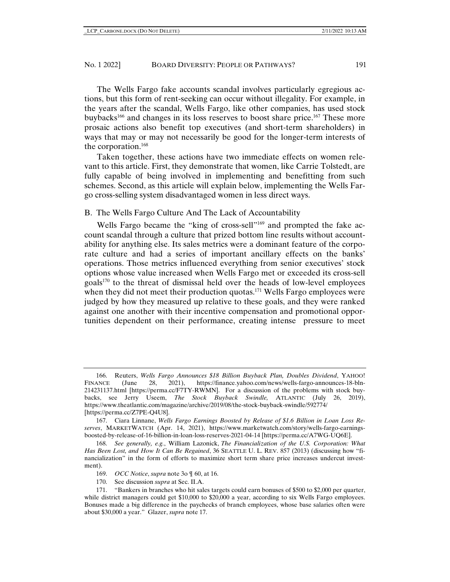The Wells Fargo fake accounts scandal involves particularly egregious actions, but this form of rent-seeking can occur without illegality. For example, in the years after the scandal, Wells Fargo, like other companies, has used stock buybacks166 and changes in its loss reserves to boost share price.167 These more prosaic actions also benefit top executives (and short-term shareholders) in ways that may or may not necessarily be good for the longer-term interests of the corporation.168

Taken together, these actions have two immediate effects on women relevant to this article. First, they demonstrate that women, like Carrie Tolstedt, are fully capable of being involved in implementing and benefitting from such schemes. Second, as this article will explain below, implementing the Wells Fargo cross-selling system disadvantaged women in less direct ways.

# B. The Wells Fargo Culture And The Lack of Accountability

Wells Fargo became the "king of cross-sell"<sup>169</sup> and prompted the fake account scandal through a culture that prized bottom line results without accountability for anything else. Its sales metrics were a dominant feature of the corporate culture and had a series of important ancillary effects on the banks' operations. Those metrics influenced everything from senior executives' stock options whose value increased when Wells Fargo met or exceeded its cross-sell goals<sup>170</sup> to the threat of dismissal held over the heads of low-level employees when they did not meet their production quotas.<sup>171</sup> Wells Fargo employees were judged by how they measured up relative to these goals, and they were ranked against one another with their incentive compensation and promotional opportunities dependent on their performance, creating intense pressure to meet

<sup>166.</sup> Reuters, *Wells Fargo Announces \$18 Billion Buyback Plan, Doubles Dividend*, YAHOO! FINANCE (June 28, 2021), https://finance.yahoo.com/news/wells-fargo-announces-18-bln-214231137.html [https://perma.cc/F7TY-RWMN]. For a discussion of the problems with stock buybacks, see Jerry Useem, *The Stock Buyback Swindle,* ATLANTIC (July 26, 2019), https://www.theatlantic.com/magazine/archive/2019/08/the-stock-buyback-swindle/592774/ [https://perma.cc/Z7PE-Q4U8].

<sup>167.</sup> Ciara Linnane, *Wells Fargo Earnings Boosted by Release of \$1.6 Billion in Loan Loss Reserves*, MARKETWATCH (Apr. 14, 2021), https://www.marketwatch.com/story/wells-fargo-earningsboosted-by-release-of-16-billion-in-loan-loss-reserves-2021-04-14 [https://perma.cc/A7WG-UQ6E].

<sup>168.</sup> *See generally, e.g.*, William Lazonick, *The Financialization of the U.S. Corporation: What Has Been Lost, and How It Can Be Regained*, 36 SEATTLE U. L. REV. 857 (2013) (discussing how "financialization" in the form of efforts to maximize short term share price increases undercut investment).

<sup>169.</sup> *OCC Notice*, *supra* note 3o ¶ 60, at 16.

<sup>170.</sup> See discussion *supra* at Sec. II.A.

<sup>171. &</sup>quot;Bankers in branches who hit sales targets could earn bonuses of \$500 to \$2,000 per quarter, while district managers could get \$10,000 to \$20,000 a year, according to six Wells Fargo employees. Bonuses made a big difference in the paychecks of branch employees, whose base salaries often were about \$30,000 a year." Glazer, *supra* note 17.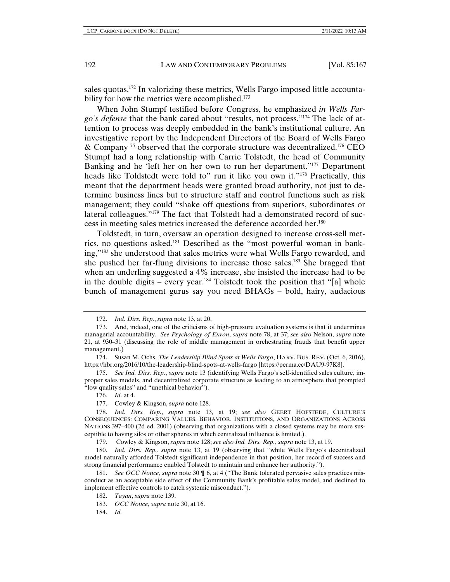sales quotas.172 In valorizing these metrics, Wells Fargo imposed little accountability for how the metrics were accomplished.<sup>173</sup>

When John Stumpf testified before Congress, he emphasized *in Wells Fargo's defense* that the bank cared about "results, not process."174 The lack of attention to process was deeply embedded in the bank's institutional culture. An investigative report by the Independent Directors of the Board of Wells Fargo & Company<sup>175</sup> observed that the corporate structure was decentralized.<sup>176</sup> CEO Stumpf had a long relationship with Carrie Tolstedt, the head of Community Banking and he 'left her on her own to run her department."177 Department heads like Toldstedt were told to" run it like you own it."<sup>178</sup> Practically, this meant that the department heads were granted broad authority, not just to determine business lines but to structure staff and control functions such as risk management; they could "shake off questions from superiors, subordinates or lateral colleagues."179 The fact that Tolstedt had a demonstrated record of success in meeting sales metrics increased the deference accorded her.180

Toldstedt, in turn, oversaw an operation designed to increase cross-sell metrics, no questions asked.181 Described as the "most powerful woman in banking,"182 she understood that sales metrics were what Wells Fargo rewarded, and she pushed her far-flung divisions to increase those sales.183 She bragged that when an underling suggested a 4% increase, she insisted the increase had to be in the double digits – every year.<sup>184</sup> Tolstedt took the position that "[a] whole bunch of management gurus say you need BHAGs – bold, hairy, audacious

179. Cowley & Kingson, *supra* note 128; *see also Ind. Dirs. Rep.*, *supra* note 13, at 19.

180. *Ind. Dirs. Rep.*, *supra* note 13, at 19 (observing that "while Wells Fargo's decentralized model naturally afforded Tolstedt significant independence in that position, her record of success and strong financial performance enabled Tolstedt to maintain and enhance her authority.").

181. *See OCC Notice*, *supra* note 30 ¶ 6, at 4 ("The Bank tolerated pervasive sales practices misconduct as an acceptable side effect of the Community Bank's profitable sales model, and declined to implement effective controls to catch systemic misconduct.").

184. *Id.*

<sup>172.</sup> *Ind. Dirs. Rep.*, *supra* note 13, at 20.

<sup>173.</sup> And, indeed, one of the criticisms of high-pressure evaluation systems is that it undermines managerial accountability. *See Psychology of Enron*, *supra* note 78, at 37; *see also* Nelson, *supra* note 21, at 930–31 (discussing the role of middle management in orchestrating frauds that benefit upper management.)

<sup>174.</sup> Susan M. Ochs, *The Leadership Blind Spots at Wells Fargo*, HARV. BUS. REV. (Oct. 6, 2016), https://hbr.org/2016/10/the-leadership-blind-spots-at-wells-fargo [https://perma.cc/DAU9-97K8].

<sup>175.</sup> *See Ind. Dirs. Rep.*, *supra* note 13 (identifying Wells Fargo's self-identified sales culture, improper sales models, and decentralized corporate structure as leading to an atmosphere that prompted "low quality sales" and "unethical behavior").

<sup>176.</sup> *Id*. at 4.

<sup>177.</sup> Cowley & Kingson, s*upra* note 128.

<sup>178.</sup> *Ind. Dirs. Rep.*, *supra* note 13*,* at 19; *see also* GEERT HOFSTEDE, CULTURE'S CONSEQUENCES: COMPARING VALUES, BEHAVIOR, INSTITUTIONS, AND ORGANIZATIONS ACROSS NATIONS 397–400 (2d ed. 2001) (observing that organizations with a closed systems may be more susceptible to having silos or other spheres in which centralized influence is limited.).

<sup>182.</sup> *Tayan*, *supra* note 139.

<sup>183.</sup> *OCC Notice*, *supra* note 30, at 16.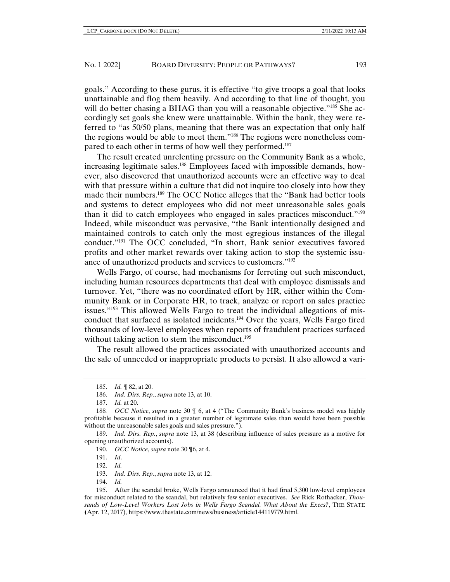goals." According to these gurus, it is effective "to give troops a goal that looks unattainable and flog them heavily. And according to that line of thought, you will do better chasing a BHAG than you will a reasonable objective."<sup>185</sup> She accordingly set goals she knew were unattainable. Within the bank, they were referred to "as 50/50 plans, meaning that there was an expectation that only half the regions would be able to meet them."186 The regions were nonetheless compared to each other in terms of how well they performed.<sup>187</sup>

The result created unrelenting pressure on the Community Bank as a whole, increasing legitimate sales.188 Employees faced with impossible demands, however, also discovered that unauthorized accounts were an effective way to deal with that pressure within a culture that did not inquire too closely into how they made their numbers.189 The OCC Notice alleges that the "Bank had better tools and systems to detect employees who did not meet unreasonable sales goals than it did to catch employees who engaged in sales practices misconduct."190 Indeed, while misconduct was pervasive, "the Bank intentionally designed and maintained controls to catch only the most egregious instances of the illegal conduct."191 The OCC concluded, "In short, Bank senior executives favored profits and other market rewards over taking action to stop the systemic issuance of unauthorized products and services to customers."192

Wells Fargo, of course, had mechanisms for ferreting out such misconduct, including human resources departments that deal with employee dismissals and turnover. Yet, "there was no coordinated effort by HR, either within the Community Bank or in Corporate HR, to track, analyze or report on sales practice issues."193 This allowed Wells Fargo to treat the individual allegations of misconduct that surfaced as isolated incidents.194 Over the years, Wells Fargo fired thousands of low-level employees when reports of fraudulent practices surfaced without taking action to stem the misconduct.<sup>195</sup>

The result allowed the practices associated with unauthorized accounts and the sale of unneeded or inappropriate products to persist. It also allowed a vari-

191. *Id*.

192. *Id.* 

194. *Id.*

<sup>185.</sup> *Id.* ¶ 82, at 20.

<sup>186.</sup> *Ind. Dirs. Rep.*, *supra* note 13, at 10.

<sup>187.</sup> *Id.* at 20.

<sup>188</sup>*. OCC Notice*, *supra* note 30 ¶ 6, at 4 ("The Community Bank's business model was highly profitable because it resulted in a greater number of legitimate sales than would have been possible without the unreasonable sales goals and sales pressure.").

<sup>189.</sup> *Ind. Dirs. Rep.*, *supra* note 13, at 38 (describing influence of sales pressure as a motive for opening unauthorized accounts).

<sup>190.</sup> *OCC Notice*, *supra* note 30 ¶6, at 4.

<sup>193.</sup> *Ind. Dirs. Rep.*, *supra* note 13, at 12.

<sup>195.</sup> After the scandal broke, Wells Fargo announced that it had fired 5,300 low-level employees for misconduct related to the scandal, but relatively few senior executives. *See* Rick Rothacker, *Thousands of Low-Level Workers Lost Jobs in Wells Fargo Scandal. What About the Execs?*, THE STATE **(**Apr. 12, 2017), https://www.thestate.com/news/business/article144119779.html.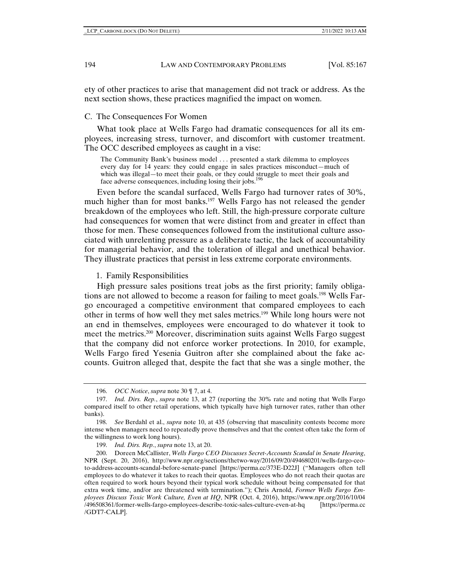ety of other practices to arise that management did not track or address. As the next section shows, these practices magnified the impact on women.

C. The Consequences For Women

What took place at Wells Fargo had dramatic consequences for all its employees, increasing stress, turnover, and discomfort with customer treatment. The OCC described employees as caught in a vise:

The Community Bank's business model . . . presented a stark dilemma to employees every day for 14 years: they could engage in sales practices misconduct—much of which was illegal—to meet their goals, or they could struggle to meet their goals and face adverse consequences, including losing their jobs.<sup>196</sup>

Even before the scandal surfaced, Wells Fargo had turnover rates of 30%, much higher than for most banks.<sup>197</sup> Wells Fargo has not released the gender breakdown of the employees who left. Still, the high-pressure corporate culture had consequences for women that were distinct from and greater in effect than those for men. These consequences followed from the institutional culture associated with unrelenting pressure as a deliberate tactic, the lack of accountability for managerial behavior, and the toleration of illegal and unethical behavior. They illustrate practices that persist in less extreme corporate environments.

#### 1. Family Responsibilities

High pressure sales positions treat jobs as the first priority; family obligations are not allowed to become a reason for failing to meet goals.<sup>198</sup> Wells Fargo encouraged a competitive environment that compared employees to each other in terms of how well they met sales metrics.199 While long hours were not an end in themselves, employees were encouraged to do whatever it took to meet the metrics.200 Moreover, discrimination suits against Wells Fargo suggest that the company did not enforce worker protections. In 2010, for example, Wells Fargo fired Yesenia Guitron after she complained about the fake accounts. Guitron alleged that, despite the fact that she was a single mother, the

199. *Ind. Dirs. Rep.*, *supra* note 13, at 20.

<sup>196.</sup> *OCC Notice*, *supra* note 30 ¶ 7, at 4.

<sup>197.</sup> *Ind. Dirs. Rep.*, *supra* note 13, at 27 (reporting the 30% rate and noting that Wells Fargo compared itself to other retail operations, which typically have high turnover rates, rather than other banks).

<sup>198.</sup> *See* Berdahl et al., *supra* note 10, at 435 (observing that masculinity contests become more intense when managers need to repeatedly prove themselves and that the contest often take the form of the willingness to work long hours).

<sup>200.</sup> Doreen McCallister, *Wells Fargo CEO Discusses Secret-Accounts Scandal in Senate Hearing*, NPR (Sept. 20, 2016), http://www.npr.org/sections/thetwo-way/2016/09/20/494680201/wells-fargo-ceoto-address-accounts-scandal-before-senate-panel [https://perma.cc/373E-D22J] ("Managers often tell employees to do whatever it takes to reach their quotas. Employees who do not reach their quotas are often required to work hours beyond their typical work schedule without being compensated for that extra work time, and/or are threatened with termination."); Chris Arnold, *Former Wells Fargo Employees Discuss Toxic Work Culture, Even at HQ*, NPR (Oct. 4, 2016), https://www.npr.org/2016/10/04 /496508361/former-wells-fargo-employees-describe-toxic-sales-culture-even-at-hq [https://perma.cc /GDT7-CALP].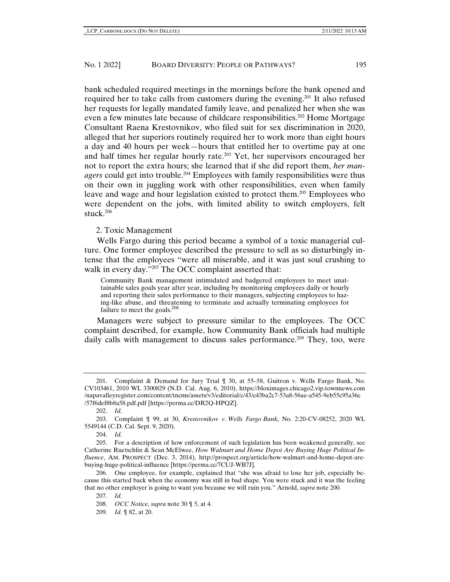bank scheduled required meetings in the mornings before the bank opened and required her to take calls from customers during the evening.201 It also refused her requests for legally mandated family leave, and penalized her when she was even a few minutes late because of childcare responsibilities.<sup>202</sup> Home Mortgage Consultant Raena Krestovnikov, who filed suit for sex discrimination in 2020, alleged that her superiors routinely required her to work more than eight hours a day and 40 hours per week—hours that entitled her to overtime pay at one and half times her regular hourly rate.203 Yet, her supervisors encouraged her not to report the extra hours; she learned that if she did report them, *her managers* could get into trouble.204 Employees with family responsibilities were thus on their own in juggling work with other responsibilities, even when family leave and wage and hour legislation existed to protect them.<sup>205</sup> Employees who were dependent on the jobs, with limited ability to switch employers, felt stuck.206

## 2. Toxic Management

Wells Fargo during this period became a symbol of a toxic managerial culture. One former employee described the pressure to sell as so disturbingly intense that the employees "were all miserable, and it was just soul crushing to walk in every day."<sup>207</sup> The OCC complaint asserted that:

Community Bank management intimidated and badgered employees to meet unattainable sales goals year after year, including by monitoring employees daily or hourly and reporting their sales performance to their managers, subjecting employees to hazing-like abuse, and threatening to terminate and actually terminating employees for failure to meet the goals.<sup>208</sup>

Managers were subject to pressure similar to the employees. The OCC complaint described, for example, how Community Bank officials had multiple daily calls with management to discuss sales performance.<sup>209</sup> They, too, were

<sup>201.</sup> Complaint & Demand for Jury Trial ¶ 30, at 55–58, Guitron v. Wells Fargo Bank, No. CV103461, 2010 WL 3300829 (N.D. Cal. Aug. 6, 2010), https://bloximages.chicago2.vip.townnews.com /napavalleyregister.com/content/tncms/assets/v3/editorial/c/43/c43ba2c7-53a8-56ae-a545-9eb55c95a36c /57f6def8b8a58.pdf.pdf [https://perma.cc/DR2Q-HPQZ].

<sup>202.</sup> *Id.*

<sup>203.</sup> Complaint ¶ 99, at 30, *Krestovnikov v*. *Wells Fargo Bank,* No. 2:20-CV-08252, 2020 WL 5549144 (C.D. Cal. Sept. 9, 2020).

<sup>204.</sup> *Id*.

<sup>205.</sup> For a description of how enforcement of such legislation has been weakened generally, see Catherine Ruetschlin & Sean McElwee, *How Walmart and Home Depot Are Buying Huge Political Influence*, AM. PROSPECT (Dec. 3, 2014), http://prospect.org/article/how-walmart-and-home-depot-arebuying-huge-political-influence [https://perma.cc/7CUJ-WB7J].

<sup>206.</sup> One employee, for example, explained that "she was afraid to lose her job, especially because this started back when the economy was still in bad shape. You were stuck and it was the feeling that no other employer is going to want you because we will ruin you." Arnold, *supra* note 200.

<sup>207.</sup> *Id.*

<sup>208.</sup> *OCC Notice*, *supra* note 30 ¶ 5, at 4.

<sup>209.</sup> *Id.* ¶ 82, at 20.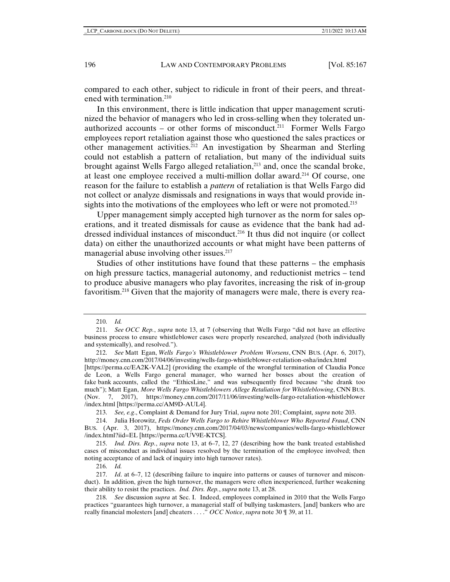compared to each other, subject to ridicule in front of their peers, and threatened with termination.<sup>210</sup>

In this environment, there is little indication that upper management scrutinized the behavior of managers who led in cross-selling when they tolerated unauthorized accounts – or other forms of misconduct.<sup>211</sup> Former Wells Fargo employees report retaliation against those who questioned the sales practices or other management activities.212 An investigation by Shearman and Sterling could not establish a pattern of retaliation, but many of the individual suits brought against Wells Fargo alleged retaliation,<sup>213</sup> and, once the scandal broke, at least one employee received a multi-million dollar award.214 Of course, one reason for the failure to establish a *pattern* of retaliation is that Wells Fargo did not collect or analyze dismissals and resignations in ways that would provide insights into the motivations of the employees who left or were not promoted.<sup>215</sup>

Upper management simply accepted high turnover as the norm for sales operations, and it treated dismissals for cause as evidence that the bank had addressed individual instances of misconduct.216 It thus did not inquire (or collect data) on either the unauthorized accounts or what might have been patterns of managerial abuse involving other issues.<sup>217</sup>

Studies of other institutions have found that these patterns – the emphasis on high pressure tactics, managerial autonomy, and reductionist metrics – tend to produce abusive managers who play favorites, increasing the risk of in-group favoritism.218 Given that the majority of managers were male, there is every rea-

213. *See, e.g*., Complaint & Demand for Jury Trial, *supra* note 201; Complaint*, supra* note 203.

215. *Ind. Dirs. Rep.*, *supra* note 13, at 6–7, 12, 27 (describing how the bank treated established cases of misconduct as individual issues resolved by the termination of the employee involved; then noting acceptance of and lack of inquiry into high turnover rates).

216. *Id.*

<sup>210.</sup> *Id.*

<sup>211.</sup> *See OCC Rep.*, *supra* note 13, at 7 (observing that Wells Fargo "did not have an effective business process to ensure whistleblower cases were properly researched, analyzed (both individually and systemically), and resolved.").

<sup>212.</sup> *See* Matt Egan, *Wells Fargo's Whistleblower Problem Worsens*, CNN BUS. (Apr. 6, 2017), http://money.cnn.com/2017/04/06/investing/wells-fargo-whistleblower-retaliation-osha/index.html [https://perma.cc/EA2K-VAL2] (providing the example of the wrongful termination of Claudia Ponce de Leon, a Wells Fargo general manager, who warned her bosses about the creation of fake bank accounts, called the "EthicsLine," and was subsequently fired because "she drank too much"); Matt Egan, *More Wells Fargo Whistleblowers Allege Retaliation for Whistleblowing*, CNN BUS. (Nov. 7, 2017), https://money.cnn.com/2017/11/06/investing/wells-fargo-retaliation-whistleblower /index.html [https://perma.cc/AM9D-AUL4].

<sup>214.</sup> Julia Horowitz, *Feds Order Wells Fargo to Rehire Whistleblower Who Reported Fraud*, CNN BUS. (Apr. 3, 2017), https://money.cnn.com/2017/04/03/news/companies/wells-fargo-whistleblower /index.html?iid=EL [https://perma.cc/UV9E-KTCS].

<sup>217.</sup> *Id*. at 6–7, 12 (describing failure to inquire into patterns or causes of turnover and misconduct). In addition, given the high turnover, the managers were often inexperienced, further weakening their ability to resist the practices. *Ind. Dirs. Rep.*, *supra* note 13, at 28.

<sup>218.</sup> *See* discussion *supra* at Sec. I. Indeed, employees complained in 2010 that the Wells Fargo practices "guarantees high turnover, a managerial staff of bullying taskmasters, [and] bankers who are really financial molesters [and] cheaters . . . ." *OCC Notice*, *supra* note 30 ¶ 39, at 11.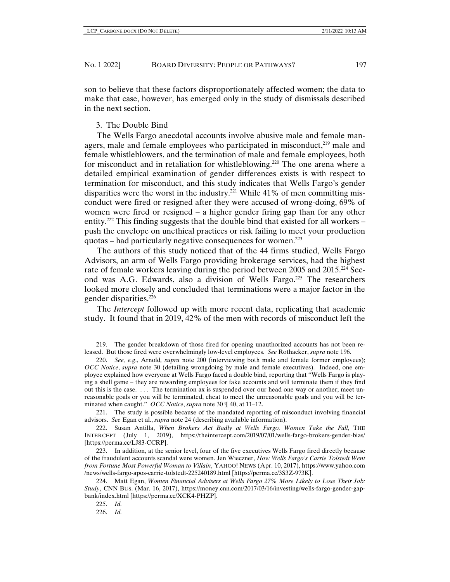son to believe that these factors disproportionately affected women; the data to make that case, however, has emerged only in the study of dismissals described in the next section.

#### 3. The Double Bind

The Wells Fargo anecdotal accounts involve abusive male and female managers, male and female employees who participated in misconduct, $2^{19}$  male and female whistleblowers, and the termination of male and female employees, both for misconduct and in retaliation for whistleblowing.220 The one arena where a detailed empirical examination of gender differences exists is with respect to termination for misconduct, and this study indicates that Wells Fargo's gender disparities were the worst in the industry.<sup>221</sup> While 41% of men committing misconduct were fired or resigned after they were accused of wrong-doing, 69% of women were fired or resigned – a higher gender firing gap than for any other entity.<sup>222</sup> This finding suggests that the double bind that existed for all workers – push the envelope on unethical practices or risk failing to meet your production quotas – had particularly negative consequences for women.<sup>223</sup>

The authors of this study noticed that of the 44 firms studied, Wells Fargo Advisors, an arm of Wells Fargo providing brokerage services, had the highest rate of female workers leaving during the period between 2005 and  $2015.^{224}$  Second was A.G. Edwards, also a division of Wells Fargo.225 The researchers looked more closely and concluded that terminations were a major factor in the gender disparities.226

The *Intercept* followed up with more recent data, replicating that academic study. It found that in 2019, 42% of the men with records of misconduct left the

226. *Id.*

<sup>219.</sup> The gender breakdown of those fired for opening unauthorized accounts has not been released. But those fired were overwhelmingly low-level employees. *See* Rothacker, *supra* note 196.

<sup>220.</sup> *See, e.g*., Arnold*, supra* note 200 (interviewing both male and female former employees); *OCC Notice*, *supra* note 30 (detailing wrongdoing by male and female executives). Indeed, one employee explained how everyone at Wells Fargo faced a double bind, reporting that "Wells Fargo is playing a shell game – they are rewarding employees for fake accounts and will terminate them if they find out this is the case. . . . The termination ax is suspended over our head one way or another; meet unreasonable goals or you will be terminated, cheat to meet the unreasonable goals and you will be terminated when caught." *OCC Notice*, *supra* note 30 ¶ 40, at 11–12.

<sup>221.</sup> The study is possible because of the mandated reporting of misconduct involving financial advisors. *See* Egan et al., *supra* note 24 (describing available information).

<sup>222.</sup> Susan Antilla, *When Brokers Act Badly at Wells Fargo, Women Take the Fall*, THE INTERCEPT (July 1, 2019), https://theintercept.com/2019/07/01/wells-fargo-brokers-gender-bias/ [https://perma.cc/LJ83-CCRP].

<sup>223.</sup> In addition, at the senior level, four of the five executives Wells Fargo fired directly because of the fraudulent accounts scandal were women. Jen Wieczner, *How Wells Fargo's Carrie Tolstedt Went from Fortune Most Powerful Woman to Villain*, YAHOO! NEWS (Apr. 10, 2017), https://www.yahoo.com /news/wells-fargo-apos-carrie-tolstedt-225240189.html [https://perma.cc/3S3Z-973K].

<sup>224.</sup> Matt Egan, *Women Financial Advisers at Wells Fargo 27% More Likely to Lose Their Job: Study*, CNN BUS. (Mar. 16, 2017), https://money.cnn.com/2017/03/16/investing/wells-fargo-gender-gapbank/index.html [https://perma.cc/XCK4-PHZP].

<sup>225.</sup> *Id.*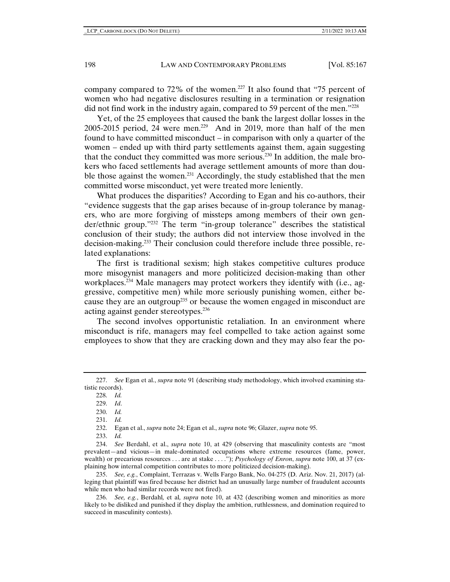company compared to 72% of the women.<sup>227</sup> It also found that "75 percent of women who had negative disclosures resulting in a termination or resignation did not find work in the industry again, compared to 59 percent of the men.<sup>"228</sup>

Yet, of the 25 employees that caused the bank the largest dollar losses in the 2005-2015 period, 24 were men.<sup>229</sup> And in 2019, more than half of the men found to have committed misconduct – in comparison with only a quarter of the women – ended up with third party settlements against them, again suggesting that the conduct they committed was more serious.230 In addition, the male brokers who faced settlements had average settlement amounts of more than double those against the women.<sup>231</sup> Accordingly, the study established that the men committed worse misconduct, yet were treated more leniently.

What produces the disparities? According to Egan and his co-authors, their "evidence suggests that the gap arises because of in-group tolerance by managers, who are more forgiving of missteps among members of their own gender/ethnic group."232 The term "in-group tolerance" describes the statistical conclusion of their study; the authors did not interview those involved in the decision-making.233 Their conclusion could therefore include three possible, related explanations:

The first is traditional sexism; high stakes competitive cultures produce more misogynist managers and more politicized decision-making than other workplaces.<sup>234</sup> Male managers may protect workers they identify with (i.e., aggressive, competitive men) while more seriously punishing women, either because they are an outgroup<sup>235</sup> or because the women engaged in misconduct are acting against gender stereotypes.<sup>236</sup>

The second involves opportunistic retaliation. In an environment where misconduct is rife, managers may feel compelled to take action against some employees to show that they are cracking down and they may also fear the po-

232. Egan et al., *supra* note 24; Egan et al., *supra* note 96; Glazer, *supra* note 95.

<sup>227.</sup> *See* Egan et al., *supra* note 91 (describing study methodology, which involved examining statistic records).

<sup>228.</sup> *Id.*

<sup>229.</sup> *Id*.

<sup>230.</sup> *Id.* 

<sup>231.</sup> *Id.*

<sup>233.</sup> *Id.*

<sup>234.</sup> *See* Berdahl, et al., *supra* note 10, at 429 (observing that masculinity contests are "most prevalent—and vicious—in male-dominated occupations where extreme resources (fame, power, wealth) or precarious resources . . . are at stake . . . ."); *Psychology of Enron*, *supra* note 100, at 37 (explaining how internal competition contributes to more politicized decision-making).

<sup>235.</sup> *See, e.g.*, Complaint, Terrazas v. Wells Fargo Bank, No. 04-275 (D. Ariz. Nov. 21, 2017) (alleging that plaintiff was fired because her district had an unusually large number of fraudulent accounts while men who had similar records were not fired).

<sup>236.</sup> *See, e.g.*, Berdahl*,* et al*, supra* note 10, at 432 (describing women and minorities as more likely to be disliked and punished if they display the ambition, ruthlessness, and domination required to succeed in masculinity contests).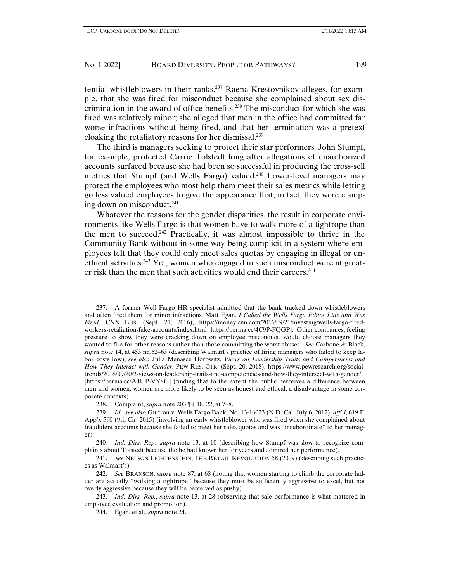tential whistleblowers in their ranks.237 Raena Krestovnikov alleges, for example, that she was fired for misconduct because she complained about sex discrimination in the award of office benefits.238 The misconduct for which she was fired was relatively minor; she alleged that men in the office had committed far worse infractions without being fired, and that her termination was a pretext cloaking the retaliatory reasons for her dismissal.239

The third is managers seeking to protect their star performers. John Stumpf, for example, protected Carrie Tolstedt long after allegations of unauthorized accounts surfaced because she had been so successful in producing the cross-sell metrics that Stumpf (and Wells Fargo) valued.240 Lower-level managers may protect the employees who most help them meet their sales metrics while letting go less valued employees to give the appearance that, in fact, they were clamping down on misconduct.241

Whatever the reasons for the gender disparities, the result in corporate environments like Wells Fargo is that women have to walk more of a tightrope than the men to succeed.<sup>242</sup> Practically, it was almost impossible to thrive in the Community Bank without in some way being complicit in a system where employees felt that they could only meet sales quotas by engaging in illegal or unethical activities.<sup>243</sup> Yet, women who engaged in such misconduct were at greater risk than the men that such activities would end their careers.<sup>244</sup>

<sup>237.</sup> A former Well Fargo HR specialist admitted that the bank tracked down whistleblowers and often fired them for minor infractions. Matt Egan, *I Called the Wells Fargo Ethics Line and Was Fired*, CNN BUS. (Sept. 21, 2016), https://money.cnn.com/2016/09/21/investing/wells-fargo-firedworkers-retaliation-fake-accounts/index.html [https://perma.cc/4C9P-FQGP]. Other companies, feeling pressure to show they were cracking down on employee misconduct, would choose managers they wanted to fire for other reasons rather than those committing the worst abuses. *See* Carbone & Black, *supra* note 14, at 453 nn.62–63 (describing Walmart's practice of firing managers who failed to keep labor costs low); *see also* Julia Menasce Horowitz, *Views on Leadership Traits and Competencies and How They Interact with Gender*, PEW RES. CTR. (Sept. 20, 2018), https://www.pewresearch.org/socialtrends/2018/09/20/2-views-on-leadership-traits-and-competencies-and-how-they-intersect-with-gender/ [https://perma.cc/A4UP-VY8G] (finding that to the extent the public perceives a difference between men and women, women are more likely to be seen as honest and ethical, a disadvantage in some corporate contexts).

<sup>238.</sup> Complaint, *supra* note 203 ¶¶ 18, 22, at 7–8.

<sup>239.</sup> *Id.*; *see also* Guitron v. Wells Fargo Bank, No. 13-16023 (N.D. Cal. July 6, 2012), *aff'd*, 619 F. App'x 590 (9th Cir. 2015) (involving an early whistleblower who was fired when she complained about fraudulent accounts because she failed to meet her sales quotas and was "insubordinate" to her manager).

<sup>240</sup>*. Ind. Dirs. Rep.*, *supra* note 13, at 10 (describing how Stumpf was slow to recognize complaints about Tolstedt because the he had known her for years and admired her performance).

<sup>241.</sup> *See* NELSON LICHTENSTEIN, THE RETAIL REVOLUTION 58 (2009) (describing such practices as Walmart's).

<sup>242.</sup> *See* BRANSON, *supra* note 87, at 68 (noting that women starting to climb the corporate ladder are actually "walking a tightrope" because they must be sufficiently aggressive to excel, but not overly aggressive because they will be perceived as pushy).

<sup>243.</sup> *Ind. Dirs. Rep.*, *supra* note 13, at 28 (observing that sale performance is what mattered in employee evaluation and promotion).

<sup>244.</sup> Egan, et al., *supra* note 24.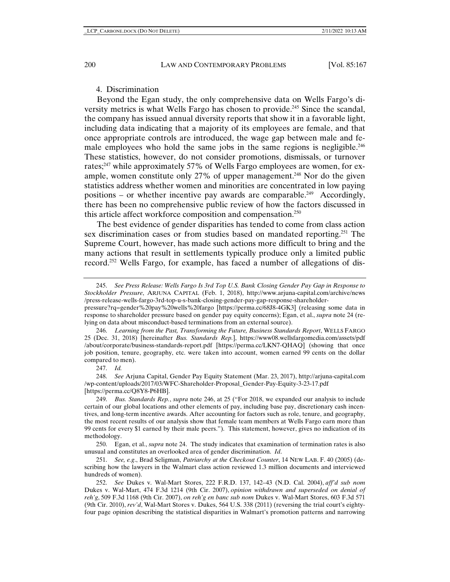#### 4. Discrimination

Beyond the Egan study, the only comprehensive data on Wells Fargo's diversity metrics is what Wells Fargo has chosen to provide.<sup>245</sup> Since the scandal, the company has issued annual diversity reports that show it in a favorable light, including data indicating that a majority of its employees are female, and that once appropriate controls are introduced, the wage gap between male and female employees who hold the same jobs in the same regions is negligible.<sup>246</sup> These statistics, however, do not consider promotions, dismissals, or turnover rates;<sup>247</sup> while approximately 57% of Wells Fargo employees are women, for example, women constitute only 27% of upper management.<sup>248</sup> Nor do the given statistics address whether women and minorities are concentrated in low paying positions – or whether incentive pay awards are comparable.<sup>249</sup> Accordingly, there has been no comprehensive public review of how the factors discussed in this article affect workforce composition and compensation.250

The best evidence of gender disparities has tended to come from class action sex discrimination cases or from studies based on mandated reporting.<sup>251</sup> The Supreme Court, however, has made such actions more difficult to bring and the many actions that result in settlements typically produce only a limited public record.252 Wells Fargo, for example, has faced a number of allegations of dis-

247. *Id.*

248. *See* Arjuna Capital, Gender Pay Equity Statement (Mar. 23, 2017), http://arjuna-capital.com /wp-content/uploads/2017/03/WFC-Shareholder-Proposal\_Gender-Pay-Equity-3-23-17.pdf [https://perma.cc/Q8Y8-P6HB].

250. Egan, et al., *supra* note 24. The study indicates that examination of termination rates is also unusual and constitutes an overlooked area of gender discrimination. *Id*.

251. *See, e.g*., Brad Seligman, *Patriarchy at the Checkout Counter*, 14 NEW LAB. F. 40 (2005) (describing how the lawyers in the Walmart class action reviewed 1.3 million documents and interviewed hundreds of women).

252. *See* Dukes v. Wal-Mart Stores, 222 F.R.D. 137, 142–43 (N.D. Cal. 2004), *aff'd sub nom* Dukes v. Wal-Mart, 474 F.3d 1214 (9th Cir. 2007), *opinion withdrawn and superseded on denial of reh'g*, 509 F.3d 1168 (9th Cir. 2007), *on reh'g en banc sub nom* Dukes v. Wal-Mart Stores, 603 F.3d 571 (9th Cir. 2010), *rev'd*, Wal-Mart Stores v. Dukes, 564 U.S. 338 (2011) (reversing the trial court's eightyfour page opinion describing the statistical disparities in Walmart's promotion patterns and narrowing

<sup>245.</sup> *See Press Release: Wells Fargo Is 3rd Top U.S. Bank Closing Gender Pay Gap in Response to Stockholder Pressure*, ARJUNA CAPITAL (Feb. 1, 2018), http://www.arjuna-capital.com/archive/news /press-release-wells-fargo-3rd-top-u-s-bank-closing-gender-pay-gap-response-shareholder-

pressure?rq=gender%20pay%20wells%20fargo [https://perma.cc/68J8-4GK3] (releasing some data in response to shareholder pressure based on gender pay equity concerns); Egan, et al., *supra* note 24 (relying on data about misconduct-based terminations from an external source).

<sup>246.</sup> *Learning from the Past, Transforming the Future, Business Standards Report*, WELLS FARGO 25 (Dec. 31, 2018) [hereinafter *Bus. Standards Rep.*], https://www08.wellsfargomedia.com/assets/pdf /about/corporate/business-standards-report.pdf [https://perma.cc/LKN7-QHAQ] (showing that once job position, tenure, geography, etc. were taken into account, women earned 99 cents on the dollar compared to men).

<sup>249.</sup> *Bus. Standards Rep.*, *supra* note 246, at 25 ("For 2018, we expanded our analysis to include certain of our global locations and other elements of pay, including base pay, discretionary cash incentives, and long-term incentive awards. After accounting for factors such as role, tenure, and geography, the most recent results of our analysis show that female team members at Wells Fargo earn more than 99 cents for every \$1 earned by their male peers."). This statement, however, gives no indication of its methodology.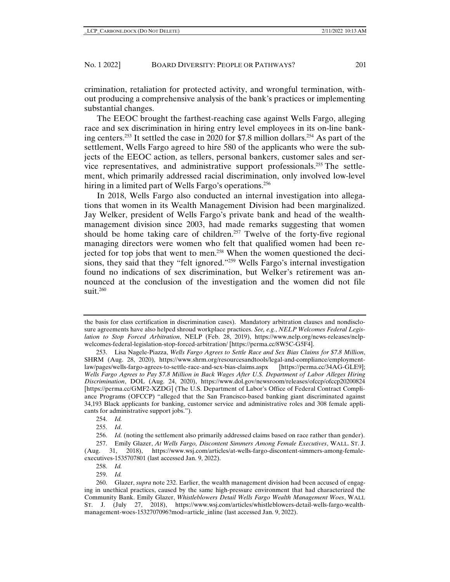crimination, retaliation for protected activity, and wrongful termination, without producing a comprehensive analysis of the bank's practices or implementing substantial changes.

The EEOC brought the farthest-reaching case against Wells Fargo, alleging race and sex discrimination in hiring entry level employees in its on-line banking centers.253 It settled the case in 2020 for \$7.8 million dollars.254 As part of the settlement, Wells Fargo agreed to hire 580 of the applicants who were the subjects of the EEOC action, as tellers, personal bankers, customer sales and service representatives, and administrative support professionals.255 The settlement, which primarily addressed racial discrimination, only involved low-level hiring in a limited part of Wells Fargo's operations.<sup>256</sup>

In 2018, Wells Fargo also conducted an internal investigation into allegations that women in its Wealth Management Division had been marginalized. Jay Welker, president of Wells Fargo's private bank and head of the wealthmanagement division since 2003, had made remarks suggesting that women should be home taking care of children.<sup>257</sup> Twelve of the forty-five regional managing directors were women who felt that qualified women had been rejected for top jobs that went to men.<sup>258</sup> When the women questioned the decisions, they said that they "felt ignored."259 Wells Fargo's internal investigation found no indications of sex discrimination, but Welker's retirement was announced at the conclusion of the investigation and the women did not file suit.260

the basis for class certification in discrimination cases). Mandatory arbitration clauses and nondisclosure agreements have also helped shroud workplace practices. *See, e.g.*, *NELP Welcomes Federal Legislation to Stop Forced Arbitration*, NELP (Feb. 28, 2019), https://www.nelp.org/news-releases/nelpwelcomes-federal-legislation-stop-forced-arbitration/ [https://perma.cc/8W5C-G5F4].

<sup>253.</sup> Lisa Nagele-Piazza, *Wells Fargo Agrees to Settle Race and Sex Bias Claims for \$7.8 Million*, SHRM (Aug. 28, 2020), https://www.shrm.org/resourcesandtools/legal-and-compliance/employmentlaw/pages/wells-fargo-agrees-to-settle-race-and-sex-bias-claims.aspx [https://perma.cc/34AG-GLE9]; *Wells Fargo Agrees to Pay \$7.8 Million in Back Wages After U.S. Department of Labor Alleges Hiring Discrimination*, DOL (Aug. 24, 2020), https://www.dol.gov/newsroom/releases/ofccp/ofccp20200824 [https://perma.cc/GMF2-XZDG] (The U.S. Department of Labor's Office of Federal Contract Compliance Programs (OFCCP) "alleged that the San Francisco-based banking giant discriminated against 34,193 Black applicants for banking, customer service and administrative roles and 308 female applicants for administrative support jobs.").

<sup>254.</sup> *Id.*

<sup>255.</sup> *Id*.

<sup>256.</sup> *Id.* (noting the settlement also primarily addressed claims based on race rather than gender).

<sup>257.</sup> Emily Glazer, *At Wells Fargo, Discontent Simmers Among Female Executives*, WALL. ST. J. (Aug. 31, 2018), https://www.wsj.com/articles/at-wells-fargo-discontent-simmers-among-femaleexecutives-1535707801 (last accessed Jan. 9, 2022).

<sup>258.</sup> *Id.*

<sup>259.</sup> *Id.* 

<sup>260.</sup> Glazer, *supra* note 232. Earlier, the wealth management division had been accused of engaging in unethical practices, caused by the same high-pressure environment that had characterized the Community Bank. Emily Glazer, *Whistleblowers Detail Wells Fargo Wealth Management Woes*, WALL ST. J. (July 27, 2018), https://www.wsj.com/articles/whistleblowers-detail-wells-fargo-wealthmanagement-woes-1532707096?mod=article\_inline (last accessed Jan. 9, 2022).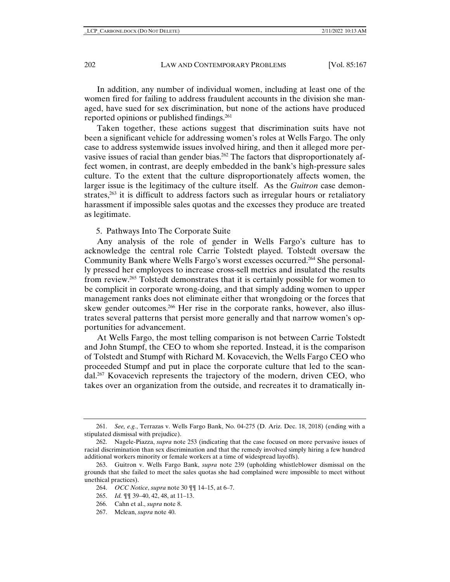In addition, any number of individual women, including at least one of the women fired for failing to address fraudulent accounts in the division she managed, have sued for sex discrimination, but none of the actions have produced reported opinions or published findings.261

Taken together, these actions suggest that discrimination suits have not been a significant vehicle for addressing women's roles at Wells Fargo. The only case to address systemwide issues involved hiring, and then it alleged more pervasive issues of racial than gender bias.<sup>262</sup> The factors that disproportionately affect women, in contrast, are deeply embedded in the bank's high-pressure sales culture. To the extent that the culture disproportionately affects women, the larger issue is the legitimacy of the culture itself. As the *Guitron* case demonstrates, $2^{63}$  it is difficult to address factors such as irregular hours or retaliatory harassment if impossible sales quotas and the excesses they produce are treated as legitimate.

5. Pathways Into The Corporate Suite

Any analysis of the role of gender in Wells Fargo's culture has to acknowledge the central role Carrie Tolstedt played. Tolstedt oversaw the Community Bank where Wells Fargo's worst excesses occurred.<sup>264</sup> She personally pressed her employees to increase cross-sell metrics and insulated the results from review.265 Tolstedt demonstrates that it is certainly possible for women to be complicit in corporate wrong-doing, and that simply adding women to upper management ranks does not eliminate either that wrongdoing or the forces that skew gender outcomes.<sup>266</sup> Her rise in the corporate ranks, however, also illustrates several patterns that persist more generally and that narrow women's opportunities for advancement.

At Wells Fargo, the most telling comparison is not between Carrie Tolstedt and John Stumpf, the CEO to whom she reported. Instead, it is the comparison of Tolstedt and Stumpf with Richard M. Kovacevich, the Wells Fargo CEO who proceeded Stumpf and put in place the corporate culture that led to the scandal.<sup>267</sup> Kovacevich represents the trajectory of the modern, driven CEO, who takes over an organization from the outside, and recreates it to dramatically in-

<sup>261.</sup> *See, e.g.*, Terrazas v. Wells Fargo Bank, No. 04-275 (D. Ariz. Dec. 18, 2018) (ending with a stipulated dismissal with prejudice).

<sup>262.</sup> Nagele-Piazza, *supra* note 253 (indicating that the case focused on more pervasive issues of racial discrimination than sex discrimination and that the remedy involved simply hiring a few hundred additional workers minority or female workers at a time of widespread layoffs).

<sup>263.</sup> Guitron v. Wells Fargo Bank, *supra* note 239 (upholding whistleblower dismissal on the grounds that she failed to meet the sales quotas she had complained were impossible to meet without unethical practices).

<sup>264.</sup> *OCC Notice*, *supra* note 30 ¶¶ 14–15, at 6–7.

<sup>265.</sup> *Id.* ¶¶ 39–40, 42, 48, at 11–13.

<sup>266.</sup> Cahn et al., *supra* note 8.

<sup>267.</sup> Mclean, *supra* note 40.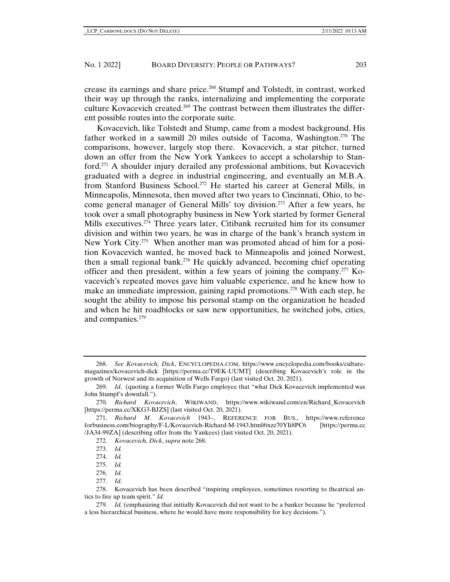crease its earnings and share price.268 Stumpf and Tolstedt, in contrast, worked their way up through the ranks, internalizing and implementing the corporate culture Kovacevich created.269 The contrast between them illustrates the different possible routes into the corporate suite.

Kovacevich, like Tolstedt and Stump, came from a modest background. His father worked in a sawmill 20 miles outside of Tacoma, Washington.270 The comparisons, however, largely stop there. Kovacevich, a star pitcher, turned down an offer from the New York Yankees to accept a scholarship to Stanford.271 A shoulder injury derailed any professional ambitions, but Kovacevich graduated with a degree in industrial engineering, and eventually an M.B.A. from Stanford Business School.272 He started his career at General Mills, in Minneapolis, Minnesota, then moved after two years to Cincinnati, Ohio, to become general manager of General Mills' toy division.273 After a few years, he took over a small photography business in New York started by former General Mills executives.<sup> $274$ </sup> Three years later, Citibank recruited him for its consumer division and within two years, he was in charge of the bank's branch system in New York City.<sup>275</sup> When another man was promoted ahead of him for a position Kovacevich wanted, he moved back to Minneapolis and joined Norwest, then a small regional bank.276 He quickly advanced, becoming chief operating officer and then president, within a few years of joining the company.277 Kovacevich's repeated moves gave him valuable experience, and he knew how to make an immediate impression, gaining rapid promotions.278 With each step, he sought the ability to impose his personal stamp on the organization he headed and when he hit roadblocks or saw new opportunities, he switched jobs, cities, and companies.279

- 276. *Id.*
- 277. *Id.*

<sup>268.</sup> *See Kovacevich, Dick*, ENCYCLOPEDIA.COM, https://www.encyclopedia.com/books/culturemagazines/kovacevich-dick [https://perma.cc/T9EK-UUMT] (describing Kovacevich's role in the growth of Norwest and its acquisition of Wells Fargo) (last visited Oct. 20, 2021).

<sup>269.</sup> *Id*. (quoting a former Wells Fargo employee that "what Dick Kovacevich implemented was John Stumpf's downfall.").

<sup>270.</sup> *Richard Kovacevich*, WIKIWAND, https://www.wikiwand.com/en/Richard\_Kovacevich [https://perma.cc/XKG3-BJZS] (last visited Oct. 20, 2021).

<sup>271.</sup> *Richard M. Kovacevich* 1943–, REFERENCE FOR BUS., https://www.reference forbusiness.com/biography/F-L/Kovacevich-Richard-M-1943.html#ixzz70YIi8PC6 [https://perma.cc /JA34-99ZA] (describing offer from the Yankees) (last visited Oct. 20, 2021).

<sup>272.</sup> *Kovacevich, Dick*, *supra* note 268.

<sup>273.</sup> *Id.*

<sup>274.</sup> *Id.*

<sup>275.</sup> *Id.*

<sup>278.</sup> Kovacevich has been described "inspiring employees, sometimes resorting to theatrical antics to fire up team spirit." *Id.* 

<sup>279.</sup> *Id.* (emphasizing that initially Kovacevich did not want to be a banker because he "preferred a less hierarchical business, where he would have more responsibility for key decisions.").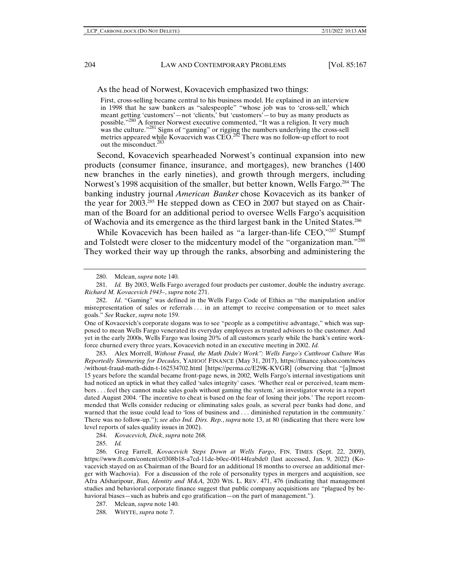As the head of Norwest, Kovacevich emphasized two things:

First, cross-selling became central to his business model. He explained in an interview in 1998 that he saw bankers as "salespeople" "whose job was to 'cross-sell,' which meant getting 'customers'—not 'clients,' but 'customers'—to buy as many products as possible."280 A former Norwest executive commented, "It was a religion. It very much was the culture."<sup>281</sup> Signs of "gaming" or rigging the numbers underlying the cross-sell metrics appeared while Kovacevich was  $CEO.<sup>282</sup>$  There was no follow-up effort to root out the misconduct.283

Second, Kovacevich spearheaded Norwest's continual expansion into new products (consumer finance, insurance, and mortgages), new branches (1400 new branches in the early nineties), and growth through mergers, including Norwest's 1998 acquisition of the smaller, but better known, Wells Fargo.284 The banking industry journal *American Banker* chose Kovacevich as its banker of the year for 2003.<sup>285</sup> He stepped down as CEO in 2007 but stayed on as Chairman of the Board for an additional period to oversee Wells Fargo's acquisition of Wachovia and its emergence as the third largest bank in the United States.286

While Kovacevich has been hailed as "a larger-than-life CEO,"287 Stumpf and Tolstedt were closer to the midcentury model of the "organization man."288 They worked their way up through the ranks, absorbing and administering the

283. Alex Morrell, *Without Fraud, the Math Didn't Work": Wells Fargo's Cutthroat Culture Was Reportedly Simmering for Decades*, YAHOO! FINANCE (May 31, 2017), https://finance.yahoo.com/news /without-fraud-math-didn-t-162534702.html [https://perma.cc/E29K-KVGR] (observing that "[a]lmost 15 years before the scandal became front-page news, in 2002, Wells Fargo's internal investigations unit had noticed an uptick in what they called 'sales integrity' cases. 'Whether real or perceived, team members . . . feel they cannot make sales goals without gaming the system,' an investigator wrote in a report dated August 2004. 'The incentive to cheat is based on the fear of losing their jobs.' The report recommended that Wells consider reducing or eliminating sales goals, as several peer banks had done, and warned that the issue could lead to 'loss of business and . . . diminished reputation in the community.' There was no follow-up."); *see also Ind. Dirs. Rep.*, *supra* note 13, at 80 (indicating that there were low level reports of sales quality issues in 2002).

284. *Kovacevich, Dick*, *supra* note 268.

285. *Id.*

<sup>280.</sup> Mclean, *supra* note 140.

<sup>281.</sup> *Id.* By 2003, Wells Fargo averaged four products per customer, double the industry average. *Richard M. Kovacevich 1943–*, *supra* note 271.

<sup>282.</sup> *Id*. "Gaming" was defined in the Wells Fargo Code of Ethics as "the manipulation and/or misrepresentation of sales or referrals . . . in an attempt to receive compensation or to meet sales goals." *See* Rucker, *supra* note 159.

One of Kovacevich's corporate slogans was to see "people as a competitive advantage," which was supposed to mean Wells Fargo venerated its everyday employees as trusted advisors to the customer. And yet in the early 2000s, Wells Fargo was losing 20% of all customers yearly while the bank's entire workforce churned every three years, Kovacevich noted in an executive meeting in 2002. *Id.* 

<sup>286.</sup> Greg Farrell, *Kovacevich Steps Down at Wells Fargo*, FIN. TIMES (Sept. 22, 2009), https://www.ft.com/content/e0308b18-a7cd-11de-b0ee-00144feabdc0 (last accessed, Jan. 9, 2022) (Kovacevich stayed on as Chairman of the Board for an additional 18 months to oversee an additional merger with Wachovia). For a discussion of the role of personality types in mergers and acquisition, see Afra Afsharipour, *Bias, Identity and M&A,* 2020 WIS. L. REV. 471, 476 (indicating that management studies and behavioral corporate finance suggest that public company acquisitions are "plagued by behavioral biases—such as hubris and ego gratification—on the part of management.").

<sup>287.</sup> Mclean, *supra* note 140.

<sup>288.</sup> WHYTE, *supra* note 7.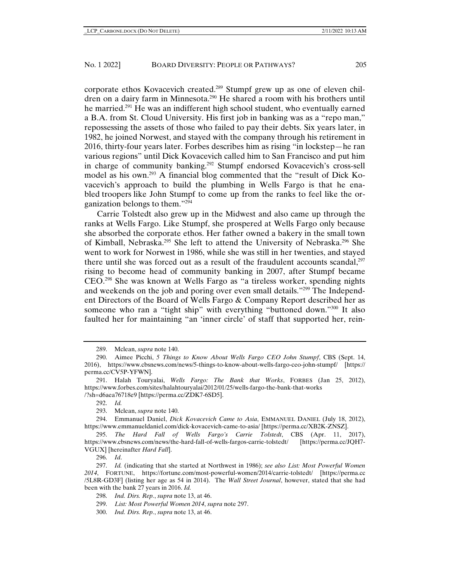corporate ethos Kovacevich created.289 Stumpf grew up as one of eleven children on a dairy farm in Minnesota.<sup>290</sup> He shared a room with his brothers until he married.<sup>291</sup> He was an indifferent high school student, who eventually earned a B.A. from St. Cloud University. His first job in banking was as a "repo man," repossessing the assets of those who failed to pay their debts. Six years later, in 1982, he joined Norwest, and stayed with the company through his retirement in 2016, thirty-four years later. Forbes describes him as rising "in lockstep—he ran various regions" until Dick Kovacevich called him to San Francisco and put him in charge of community banking.<sup>292</sup> Stumpf endorsed Kovacevich's cross-sell model as his own.293 A financial blog commented that the "result of Dick Kovacevich's approach to build the plumbing in Wells Fargo is that he enabled troopers like John Stumpf to come up from the ranks to feel like the organization belongs to them."294

Carrie Tolstedt also grew up in the Midwest and also came up through the ranks at Wells Fargo. Like Stumpf, she prospered at Wells Fargo only because she absorbed the corporate ethos. Her father owned a bakery in the small town of Kimball, Nebraska.295 She left to attend the University of Nebraska.296 She went to work for Norwest in 1986, while she was still in her twenties, and stayed there until she was forced out as a result of the fraudulent accounts scandal, $297$ rising to become head of community banking in 2007, after Stumpf became CEO.298 She was known at Wells Fargo as "a tireless worker, spending nights and weekends on the job and poring over even small details."<sup>299</sup> The Independent Directors of the Board of Wells Fargo & Company Report described her as someone who ran a "tight ship" with everything "buttoned down."300 It also faulted her for maintaining "an 'inner circle' of staff that supported her, rein-

<sup>289.</sup> Mclean, *supra* note 140.

<sup>290.</sup> Aimee Picchi, *5 Things to Know About Wells Fargo CEO John Stumpf*, CBS (Sept. 14, 2016), https://www.cbsnews.com/news/5-things-to-know-about-wells-fargo-ceo-john-stumpf/ [https:// perma.cc/CV5P-YFWN].

<sup>291.</sup> Halah Touryalai, *Wells Fargo: The Bank that Works*, FORBES (Jan 25, 2012), https://www.forbes.com/sites/halahtouryalai/2012/01/25/wells-fargo-the-bank-that-works /?sh=d6aea76718e9 [https://perma.cc/ZDK7-6SD5].

<sup>292.</sup> *Id.*

<sup>293.</sup> Mclean, *supra* note 140.

<sup>294.</sup> Emmanuel Daniel, *Dick Kovacevich Came to Asia*, EMMANUEL DANIEL (July 18, 2012), https://www.emmanueldaniel.com/dick-kovacevich-came-to-asia/ [https://perma.cc/XB2K-ZNSZ].

<sup>295.</sup> *The Hard Fall of Wells Fargo's Carrie Tolstedt*, CBS (Apr. 11, 2017), https://www.cbsnews.com/news/the-hard-fall-of-wells-fargos-carrie-tolstedt/ [https://perma.cc/JQH7- VGUX] [hereinafter *Hard Fall*].

<sup>296.</sup> *Id*.

<sup>297.</sup> *Id.* (indicating that she started at Northwest in 1986); *see also List: Most Powerful Women 2014*, FORTUNE, https://fortune.com/most-powerful-women/2014/carrie-tolstedt/ [https://perma.cc /5L8R-GD3F] (listing her age as 54 in 2014). The *Wall Street Journal*, however, stated that she had been with the bank 27 years in 2016. *Id.*

<sup>298.</sup> *Ind. Dirs. Rep.*, *supra* note 13, at 46.

<sup>299.</sup> *List: Most Powerful Women 2014*, *supra* note 297.

<sup>300.</sup> *Ind. Dirs. Rep.*, *supra* note 13, at 46.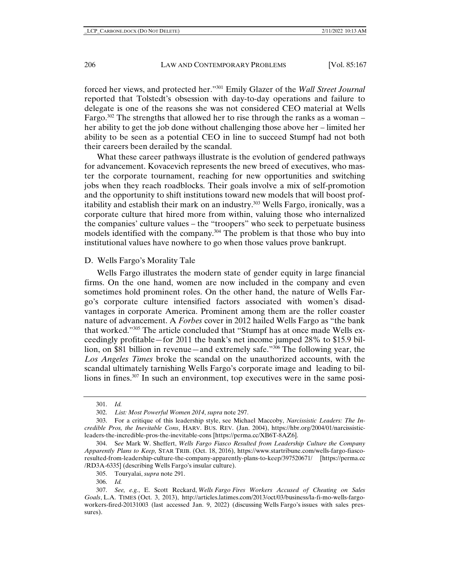forced her views, and protected her."301 Emily Glazer of the *Wall Street Journal* reported that Tolstedt's obsession with day-to-day operations and failure to delegate is one of the reasons she was not considered CEO material at Wells Fargo.<sup>302</sup> The strengths that allowed her to rise through the ranks as a woman – her ability to get the job done without challenging those above her – limited her ability to be seen as a potential CEO in line to succeed Stumpf had not both their careers been derailed by the scandal.

What these career pathways illustrate is the evolution of gendered pathways for advancement. Kovacevich represents the new breed of executives, who master the corporate tournament, reaching for new opportunities and switching jobs when they reach roadblocks. Their goals involve a mix of self-promotion and the opportunity to shift institutions toward new models that will boost profitability and establish their mark on an industry.<sup>303</sup> Wells Fargo, ironically, was a corporate culture that hired more from within, valuing those who internalized the companies' culture values – the "troopers" who seek to perpetuate business models identified with the company.<sup>304</sup> The problem is that those who buy into institutional values have nowhere to go when those values prove bankrupt.

#### D. Wells Fargo's Morality Tale

Wells Fargo illustrates the modern state of gender equity in large financial firms. On the one hand, women are now included in the company and even sometimes hold prominent roles. On the other hand, the nature of Wells Fargo's corporate culture intensified factors associated with women's disadvantages in corporate America. Prominent among them are the roller coaster nature of advancement. A *Forbes* cover in 2012 hailed Wells Fargo as "the bank that worked."305 The article concluded that "Stumpf has at once made Wells exceedingly profitable—for 2011 the bank's net income jumped 28% to \$15.9 billion, on \$81 billion in revenue—and extremely safe."306 The following year, the *Los Angeles Times* broke the scandal on the unauthorized accounts, with the scandal ultimately tarnishing Wells Fargo's corporate image and leading to billions in fines.307 In such an environment, top executives were in the same posi-

<sup>301.</sup> *Id.*

<sup>302.</sup> *List: Most Powerful Women 2014*, *supra* note 297.

<sup>303.</sup> For a critique of this leadership style, see Michael Maccoby, *Narcissistic Leaders: The Incredible Pros, the Inevitable Cons*, HARV. BUS. REV. (Jan. 2004), https://hbr.org/2004/01/narcissisticleaders-the-incredible-pros-the-inevitable-cons [https://perma.cc/XB6T-8AZ6].

<sup>304.</sup> S*ee* Mark W. Sheffert, *Wells Fargo Fiasco Resulted from Leadership Culture the Company Apparently Plans to Keep,* STAR TRIB. (Oct. 18, 2016), https://www.startribune.com/wells-fargo-fiascoresulted-from-leadership-culture-the-company-apparently-plans-to-keep/397520671/ [https://perma.cc /RD3A-6335] (describing Wells Fargo's insular culture).

<sup>305.</sup> Touryalai, *supra* note 291.

<sup>306.</sup> *Id.*

<sup>307.</sup> *See, e.g.*, E. Scott Reckard, *Wells Fargo Fires Workers Accused of Cheating on Sales Goals*, L.A. TIMES (Oct. 3, 2013), http://articles.latimes.com/2013/oct/03/business/la-fi-mo-wells-fargoworkers-fired-20131003 (last accessed Jan. 9, 2022) (discussing Wells Fargo's issues with sales pressures).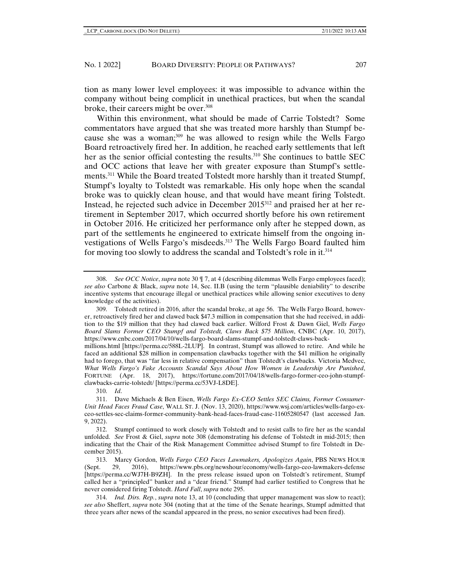tion as many lower level employees: it was impossible to advance within the company without being complicit in unethical practices, but when the scandal broke, their careers might be over.<sup>308</sup>

Within this environment, what should be made of Carrie Tolstedt? Some commentators have argued that she was treated more harshly than Stumpf because she was a woman;<sup>309</sup> he was allowed to resign while the Wells Fargo Board retroactively fired her. In addition, he reached early settlements that left her as the senior official contesting the results. $310$  She continues to battle SEC and OCC actions that leave her with greater exposure than Stumpf's settlements.<sup>311</sup> While the Board treated Tolstedt more harshly than it treated Stumpf, Stumpf's loyalty to Tolstedt was remarkable. His only hope when the scandal broke was to quickly clean house, and that would have meant firing Tolstedt. Instead, he rejected such advice in December 2015312 and praised her at her retirement in September 2017, which occurred shortly before his own retirement in October 2016. He criticized her performance only after he stepped down, as part of the settlements he engineered to extricate himself from the ongoing investigations of Wells Fargo's misdeeds.313 The Wells Fargo Board faulted him for moving too slowly to address the scandal and Tolstedt's role in it.314

310. *Id*.

<sup>308.</sup> *See OCC Notice*, *supra* note 30 ¶ 7, at 4 (describing dilemmas Wells Fargo employees faced); *see also* Carbone & Black, *supra* note 14, Sec. II.B (using the term "plausible deniability" to describe incentive systems that encourage illegal or unethical practices while allowing senior executives to deny knowledge of the activities).

<sup>309.</sup> Tolstedt retired in 2016, after the scandal broke, at age 56. The Wells Fargo Board, however, retroactively fired her and clawed back \$47.3 million in compensation that she had received, in addition to the \$19 million that they had clawed back earlier. Wilford Frost & Dawn Giel, *Wells Fargo Board Slams Former CEO Stumpf and Tolstedt, Claws Back \$75 Million*, CNBC (Apr. 10, 2017), https://www.cnbc.com/2017/04/10/wells-fargo-board-slams-stumpf-and-tolstedt-claws-back-

millions.html [https://perma.cc/588L-2LUP]. In contrast, Stumpf was allowed to retire. And while he faced an additional \$28 million in compensation clawbacks together with the \$41 million he originally had to forego, that was "far less in relative compensation" than Tolstedt's clawbacks. Victoria Medvec, *What Wells Fargo's Fake Accounts Scandal Says About How Women in Leadership Are Punished*, FORTUNE (Apr. 18, 2017), https://fortune.com/2017/04/18/wells-fargo-former-ceo-john-stumpfclawbacks-carrie-tolstedt/ [https://perma.cc/53VJ-L8DE].

<sup>311.</sup> Dave Michaels & Ben Eisen, *Wells Fargo Ex-CEO Settles SEC Claims, Former Consumer-Unit Head Faces Fraud Case*, WALL ST. J. (Nov. 13, 2020), https://www.wsj.com/articles/wells-fargo-exceo-settles-sec-claims-former-community-bank-head-faces-fraud-case-11605280547 (last accessed Jan. 9, 2022).

<sup>312.</sup> Stumpf continued to work closely with Tolstedt and to resist calls to fire her as the scandal unfolded. *See* Frost & Giel, *supra* note 308 (demonstrating his defense of Tolstedt in mid-2015; then indicating that the Chair of the Risk Management Committee advised Stumpf to fire Tolstedt in December 2015).

<sup>313.</sup> Marcy Gordon, *Wells Fargo CEO Faces Lawmakers, Apologizes Again*, PBS NEWS HOUR (Sept. 29, 2016), https://www.pbs.org/newshour/economy/wells-fargo-ceo-lawmakers-defense [https://perma.cc/WJ7H-B9ZH]. In the press release issued upon on Tolstedt's retirement, Stumpf called her a "principled" banker and a "dear friend." Stumpf had earlier testified to Congress that he never considered firing Tolstedt. *Hard Fall*, *supra* note 295.

<sup>314.</sup> *Ind. Dirs. Rep.*, *supra* note 13, at 10 (concluding that upper management was slow to react); *see also* Sheffert, *supra* note 304 (noting that at the time of the Senate hearings, Stumpf admitted that three years after news of the scandal appeared in the press, no senior executives had been fired).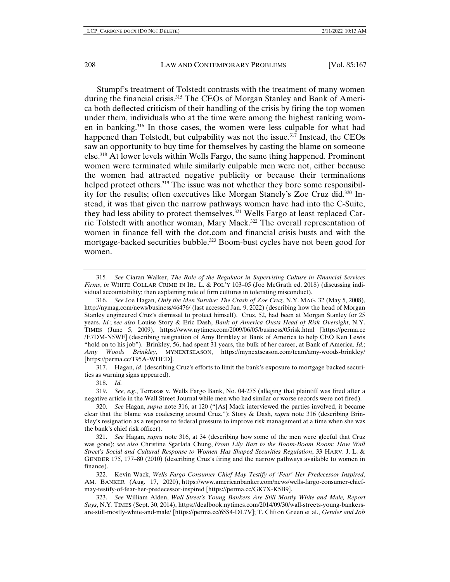Stumpf's treatment of Tolstedt contrasts with the treatment of many women during the financial crisis.<sup>315</sup> The CEOs of Morgan Stanley and Bank of America both deflected criticism of their handling of the crisis by firing the top women under them, individuals who at the time were among the highest ranking women in banking.316 In those cases, the women were less culpable for what had happened than Tolstedt, but culpability was not the issue.<sup>317</sup> Instead, the CEOs saw an opportunity to buy time for themselves by casting the blame on someone else.318 At lower levels within Wells Fargo, the same thing happened. Prominent women were terminated while similarly culpable men were not, either because the women had attracted negative publicity or because their terminations helped protect others. $319$  The issue was not whether they bore some responsibility for the results; often executives like Morgan Stanely's Zoe Cruz did.320 Instead, it was that given the narrow pathways women have had into the C-Suite, they had less ability to protect themselves.321 Wells Fargo at least replaced Carrie Tolstedt with another woman, Mary Mack.322 The overall representation of women in finance fell with the dot.com and financial crisis busts and with the mortgage-backed securities bubble.<sup>323</sup> Boom-bust cycles have not been good for women.

317. Hagan, *id*. (describing Cruz's efforts to limit the bank's exposure to mortgage backed securities as warning signs appeared).

318. *Id.*

319. *See, e.g.*, Terrazas v. Wells Fargo Bank, No. 04-275 (alleging that plaintiff was fired after a negative article in the Wall Street Journal while men who had similar or worse records were not fired).

320. *See* Hagan, *supra* note 316, at 120 ("[As] Mack interviewed the parties involved, it became clear that the blame was coalescing around Cruz."); Story & Dash, *supra* note 316 (describing Brinkley's resignation as a response to federal pressure to improve risk management at a time when she was the bank's chief risk officer).

321. *See* Hagan, *supra* note 316, at 34 (describing how some of the men were gleeful that Cruz was gone); *see also* Christine Sgarlata Chung, *From Lily Bart to the Boom-Boom Room: How Wall Street's Social and Cultural Response to Women Has Shaped Securities Regulation*, 33 HARV. J. L. & GENDER 175, 177–80 (2010) (describing Cruz's firing and the narrow pathways available to women in finance).

322. Kevin Wack, *Wells Fargo Consumer Chief May Testify of 'Fear' Her Predecessor Inspired*, AM. BANKER (Aug. 17, 2020), https://www.americanbanker.com/news/wells-fargo-consumer-chiefmay-testify-of-fear-her-predecessor-inspired [https://perma.cc/GK7X-K5B9].

323. *See* William Alden, *Wall Street's Young Bankers Are Still Mostly White and Male, Report Says*, N.Y. TIMES (Sept. 30, 2014), https://dealbook.nytimes.com/2014/09/30/wall-streets-young-bankersare-still-mostly-white-and-male/ [https://perma.cc/65S4-DL7V]; T. Clifton Green et al., *Gender and Job* 

<sup>315</sup>*. See* Ciaran Walker, *The Role of the Regulator in Supervising Culture in Financial Services Firms*, *in* WHITE COLLAR CRIME IN IR.: L. & POL'Y 103–05 (Joe McGrath ed. 2018) (discussing individual accountability; then explaining role of firm cultures in tolerating misconduct).

<sup>316.</sup> *See* Joe Hagan, *Only the Men Survive: The Crash of Zoe Cruz*, N.Y. MAG. 32 (May 5, 2008), http://nymag.com/news/business/46476/ (last accessed Jan. 9, 2022) (describing how the head of Morgan Stanley engineered Cruz's dismissal to protect himself). Cruz, 52, had been at Morgan Stanley for 25 years. *Id.*; s*ee also* Louise Story & Eric Dash, *Bank of America Ousts Head of Risk Oversight*, N.Y. TIMES (June 5, 2009), https://www.nytimes.com/2009/06/05/business/05risk.html [https://perma.cc /E7DM-N5WF] (describing resignation of Amy Brinkley at Bank of America to help CEO Ken Lewis "hold on to his job"). Brinkley, 56, had spent 31 years, the bulk of her career, at Bank of America. *Id.*; *Amy Woods Brinkley*, MYNEXTSEASON, https://mynextseason.com/team/amy-woods-brinkley/ [https://perma.cc/T95A-WHED].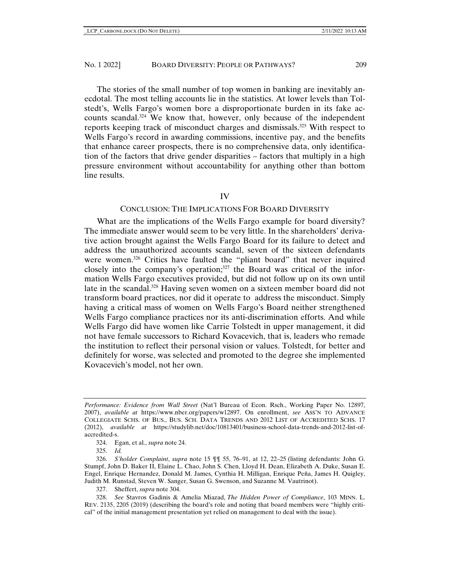The stories of the small number of top women in banking are inevitably anecdotal. The most telling accounts lie in the statistics. At lower levels than Tolstedt's, Wells Fargo's women bore a disproportionate burden in its fake accounts scandal.324 We know that, however, only because of the independent reports keeping track of misconduct charges and dismissals.325 With respect to Wells Fargo's record in awarding commissions, incentive pay, and the benefits that enhance career prospects, there is no comprehensive data, only identification of the factors that drive gender disparities – factors that multiply in a high pressure environment without accountability for anything other than bottom line results.

#### IV

# CONCLUSION: THE IMPLICATIONS FOR BOARD DIVERSITY

What are the implications of the Wells Fargo example for board diversity? The immediate answer would seem to be very little. In the shareholders' derivative action brought against the Wells Fargo Board for its failure to detect and address the unauthorized accounts scandal, seven of the sixteen defendants were women.<sup>326</sup> Critics have faulted the "pliant board" that never inquired closely into the company's operation; $327$  the Board was critical of the information Wells Fargo executives provided, but did not follow up on its own until late in the scandal.<sup>328</sup> Having seven women on a sixteen member board did not transform board practices, nor did it operate to address the misconduct. Simply having a critical mass of women on Wells Fargo's Board neither strengthened Wells Fargo compliance practices nor its anti-discrimination efforts. And while Wells Fargo did have women like Carrie Tolstedt in upper management, it did not have female successors to Richard Kovacevich, that is, leaders who remade the institution to reflect their personal vision or values. Tolstedt, for better and definitely for worse, was selected and promoted to the degree she implemented Kovacevich's model, not her own.

327. Sheffert, *supra* note 304.

*Performance: Evidence from Wall Street* (Nat'l Bureau of Econ. Rsch., Working Paper No. 12897, 2007), *available at* https://www.nber.org/papers/w12897. On enrollment, *see* ASS'N TO ADVANCE COLLEGIATE SCHS. OF BUS., BUS. SCH. DATA TRENDS AND 2012 LIST OF ACCREDITED SCHS. 17 (2012), *available at* https://studylib.net/doc/10813401/business-school-data-trends-and-2012-list-ofaccredited-s.

<sup>324.</sup> Egan, et al., *supra* note 24.

<sup>325.</sup> *Id.*

<sup>326.</sup> *S'holder Complaint*, *supra* note 15 ¶¶ 55, 76–91, at 12, 22–25 (listing defendants: John G. Stumpf, John D. Baker II, Elaine L. Chao, John S. Chen, Lloyd H. Dean, Elizabeth A. Duke, Susan E. Engel, Enrique Hernandez, Donald M. James, Cynthia H. Milligan, Enrique Peña, James H. Quigley, Judith M. Runstad, Steven W. Sanger, Susan G. Swenson, and Suzanne M. Vautrinot).

<sup>328.</sup> *See* Stavros Gadinis & Amelia Miazad, *The Hidden Power of Compliance*, 103 MINN. L. REV. 2135, 2205 (2019) (describing the board's role and noting that board members were "highly critical" of the initial management presentation yet relied on management to deal with the issue).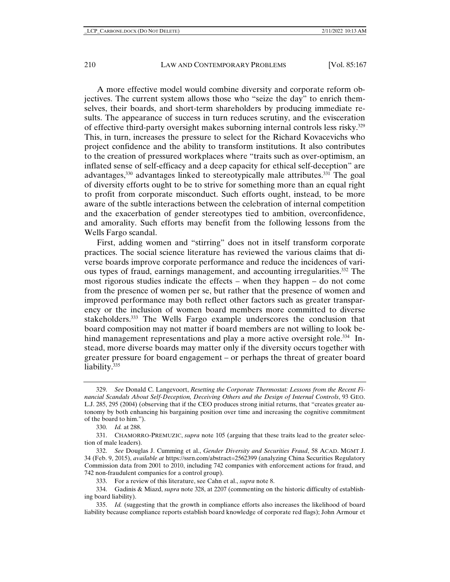A more effective model would combine diversity and corporate reform objectives. The current system allows those who "seize the day" to enrich themselves, their boards, and short-term shareholders by producing immediate results. The appearance of success in turn reduces scrutiny, and the evisceration of effective third-party oversight makes suborning internal controls less risky.329 This, in turn, increases the pressure to select for the Richard Kovacevichs who project confidence and the ability to transform institutions. It also contributes to the creation of pressured workplaces where "traits such as over-optimism, an inflated sense of self-efficacy and a deep capacity for ethical self-deception" are advantages,<sup>330</sup> advantages linked to stereotypically male attributes.<sup>331</sup> The goal of diversity efforts ought to be to strive for something more than an equal right to profit from corporate misconduct. Such efforts ought, instead, to be more aware of the subtle interactions between the celebration of internal competition and the exacerbation of gender stereotypes tied to ambition, overconfidence, and amorality. Such efforts may benefit from the following lessons from the Wells Fargo scandal.

First, adding women and "stirring" does not in itself transform corporate practices. The social science literature has reviewed the various claims that diverse boards improve corporate performance and reduce the incidences of various types of fraud, earnings management, and accounting irregularities.332 The most rigorous studies indicate the effects – when they happen – do not come from the presence of women per se, but rather that the presence of women and improved performance may both reflect other factors such as greater transparency or the inclusion of women board members more committed to diverse stakeholders.333 The Wells Fargo example underscores the conclusion that board composition may not matter if board members are not willing to look behind management representations and play a more active oversight role.<sup>334</sup> Instead, more diverse boards may matter only if the diversity occurs together with greater pressure for board engagement – or perhaps the threat of greater board liability.<sup>335</sup>

<sup>329.</sup> *See* Donald C. Langevoort, *Resetting the Corporate Thermostat: Lessons from the Recent Financial Scandals About Self-Deception, Deceiving Others and the Design of Internal Controls*, 93 GEO. L.J. 285, 295 (2004) (observing that if the CEO produces strong initial returns, that "creates greater autonomy by both enhancing his bargaining position over time and increasing the cognitive commitment of the board to him.").

<sup>330.</sup> *Id.* at 288.

<sup>331.</sup> CHAMORRO-PREMUZIC, *supra* note 105 (arguing that these traits lead to the greater selection of male leaders).

<sup>332.</sup> *See* Douglas J. Cumming et al., *Gender Diversity and Securities Fraud*, 58 ACAD. MGMT J. 34 (Feb. 9, 2015), *available at* https://ssrn.com/abstract=2562399 (analyzing China Securities Regulatory Commission data from 2001 to 2010, including 742 companies with enforcement actions for fraud, and 742 non-fraudulent companies for a control group).

<sup>333.</sup> For a review of this literature, see Cahn et al., *supra* note 8.

<sup>334.</sup> Gadinis & Miazd, *supra* note 328, at 2207 (commenting on the historic difficulty of establishing board liability).

<sup>335.</sup> *Id.* (suggesting that the growth in compliance efforts also increases the likelihood of board liability because compliance reports establish board knowledge of corporate red flags); John Armour et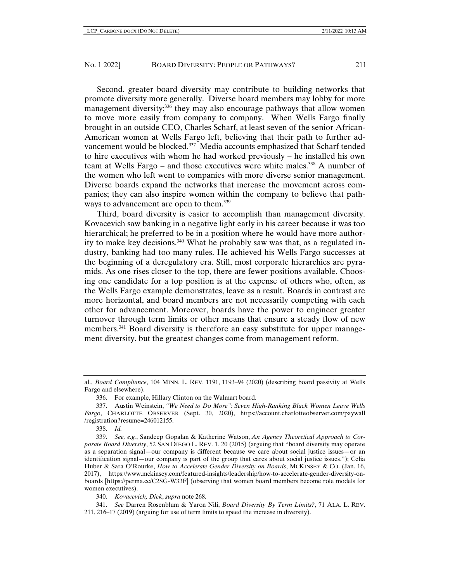Second, greater board diversity may contribute to building networks that promote diversity more generally. Diverse board members may lobby for more management diversity;<sup>336</sup> they may also encourage pathways that allow women to move more easily from company to company. When Wells Fargo finally brought in an outside CEO, Charles Scharf, at least seven of the senior African-American women at Wells Fargo left, believing that their path to further advancement would be blocked.<sup>337</sup> Media accounts emphasized that Scharf tended to hire executives with whom he had worked previously – he installed his own team at Wells Fargo – and those executives were white males.<sup>338</sup> A number of the women who left went to companies with more diverse senior management. Diverse boards expand the networks that increase the movement across companies; they can also inspire women within the company to believe that pathways to advancement are open to them.<sup>339</sup>

Third, board diversity is easier to accomplish than management diversity. Kovacevich saw banking in a negative light early in his career because it was too hierarchical; he preferred to be in a position where he would have more authority to make key decisions.340 What he probably saw was that, as a regulated industry, banking had too many rules. He achieved his Wells Fargo successes at the beginning of a deregulatory era. Still, most corporate hierarchies are pyramids. As one rises closer to the top, there are fewer positions available. Choosing one candidate for a top position is at the expense of others who, often, as the Wells Fargo example demonstrates, leave as a result. Boards in contrast are more horizontal, and board members are not necessarily competing with each other for advancement. Moreover, boards have the power to engineer greater turnover through term limits or other means that ensure a steady flow of new members.<sup>341</sup> Board diversity is therefore an easy substitute for upper management diversity, but the greatest changes come from management reform.

340. *Kovacevich, Dick*, *supra* note 268.

341. *See* Darren Rosenblum & Yaron Nili, *Board Diversity By Term Limits?*, 71 ALA. L. REV. 211, 216–17 (2019) (arguing for use of term limits to speed the increase in diversity).

al., *Board Compliance*, 104 MINN. L. REV. 1191, 1193–94 (2020) (describing board passivity at Wells Fargo and elsewhere).

<sup>336.</sup> For example, Hillary Clinton on the Walmart board.

<sup>337.</sup> Austin Weinstein, *"We Need to Do More": Seven High-Ranking Black Women Leave Wells Fargo*, CHARLOTTE OBSERVER (Sept. 30, 2020), https://account.charlotteobserver.com/paywall /registration?resume=246012155.

<sup>338.</sup> *Id.*

<sup>339.</sup> *See, e.g.*, Sandeep Gopalan & Katherine Watson, *An Agency Theoretical Approach to Corporate Board Diversity*, 52 SAN DIEGO L. REV. 1, 20 (2015) (arguing that "board diversity may operate as a separation signal—our company is different because we care about social justice issues—or an identification signal—our company is part of the group that cares about social justice issues."); Celia Huber & Sara O'Rourke, *How to Accelerate Gender Diversity on Boards*, MCKINSEY & CO. (Jan. 16, 2017), https://www.mckinsey.com/featured-insights/leadership/how-to-accelerate-gender-diversity-onboards [https://perma.cc/C2SG-W33F] (observing that women board members become role models for women executives).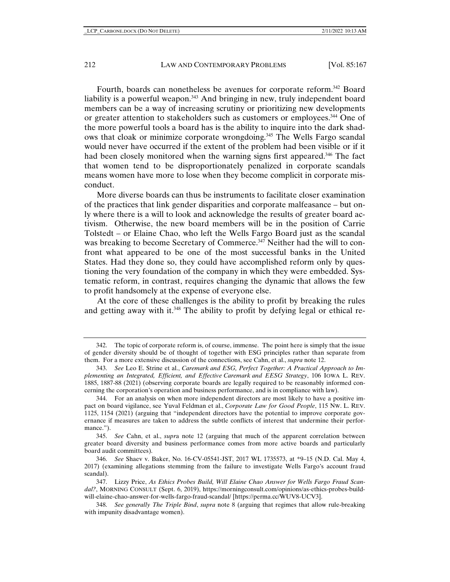Fourth, boards can nonetheless be avenues for corporate reform.342 Board liability is a powerful weapon.<sup>343</sup> And bringing in new, truly independent board members can be a way of increasing scrutiny or prioritizing new developments or greater attention to stakeholders such as customers or employees.344 One of the more powerful tools a board has is the ability to inquire into the dark shadows that cloak or minimize corporate wrongdoing.345 The Wells Fargo scandal would never have occurred if the extent of the problem had been visible or if it had been closely monitored when the warning signs first appeared.<sup>346</sup> The fact that women tend to be disproportionately penalized in corporate scandals means women have more to lose when they become complicit in corporate misconduct.

More diverse boards can thus be instruments to facilitate closer examination of the practices that link gender disparities and corporate malfeasance – but only where there is a will to look and acknowledge the results of greater board activism. Otherwise, the new board members will be in the position of Carrie Tolstedt – or Elaine Chao, who left the Wells Fargo Board just as the scandal was breaking to become Secretary of Commerce.<sup>347</sup> Neither had the will to confront what appeared to be one of the most successful banks in the United States. Had they done so, they could have accomplished reform only by questioning the very foundation of the company in which they were embedded. Systematic reform, in contrast, requires changing the dynamic that allows the few to profit handsomely at the expense of everyone else.

At the core of these challenges is the ability to profit by breaking the rules and getting away with it.<sup>348</sup> The ability to profit by defying legal or ethical re-

<sup>342.</sup> The topic of corporate reform is, of course, immense. The point here is simply that the issue of gender diversity should be of thought of together with ESG principles rather than separate from them. For a more extensive discussion of the connections, see Cahn, et al., *supra* note 12.

<sup>343.</sup> *See* Leo E. Strine et al., *Caremark and ESG, Perfect Together: A Practical Approach to Implementing an Integrated, Efficient, and Effective Caremark and EESG Strategy*, 106 IOWA L. REV. 1885, 1887-88 (2021) (observing corporate boards are legally required to be reasonably informed concerning the corporation's operation and business performance, and is in compliance with law).

<sup>344.</sup> For an analysis on when more independent directors are most likely to have a positive impact on board vigilance, see Yuval Feldman et al., *Corporate Law for Good People*, 115 NW. L. REV. 1125, 1154 (2021) (arguing that "independent directors have the potential to improve corporate governance if measures are taken to address the subtle conflicts of interest that undermine their performance.").

<sup>345.</sup> *See* Cahn, et al., *supr*a note 12 (arguing that much of the apparent correlation between greater board diversity and business performance comes from more active boards and particularly board audit committees).

<sup>346.</sup> *See* Shaev v. Baker, No. 16-CV-05541-JST, 2017 WL 1735573, at \*9–15 (N.D. Cal. May 4, 2017) (examining allegations stemming from the failure to investigate Wells Fargo's account fraud scandal).

<sup>347.</sup> Lizzy Price, *As Ethics Probes Build, Will Elaine Chao Answer for Wells Fargo Fraud Scandal?*, MORNING CONSULT (Sept. 6, 2019), https://morningconsult.com/opinions/as-ethics-probes-buildwill-elaine-chao-answer-for-wells-fargo-fraud-scandal/ [https://perma.cc/WUV8-UCV3].

<sup>348.</sup> *See generally The Triple Bind*, *supra* note 8 (arguing that regimes that allow rule-breaking with impunity disadvantage women).